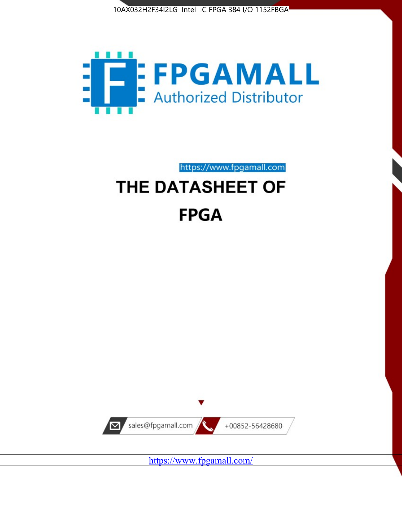



https://www.fpgamall.com

# THE DATASHEET OF **FPGA**



<https://www.fpgamall.com/>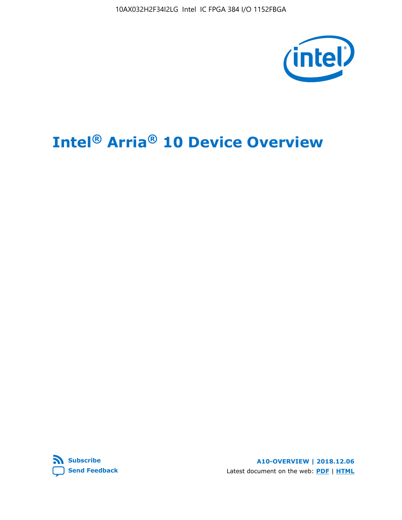

# **Intel® Arria® 10 Device Overview**



**A10-OVERVIEW | 2018.12.06** Latest document on the web: **[PDF](https://www.intel.com/content/dam/www/programmable/us/en/pdfs/literature/hb/arria-10/a10_overview.pdf)** | **[HTML](https://www.intel.com/content/www/us/en/programmable/documentation/sam1403480274650.html)**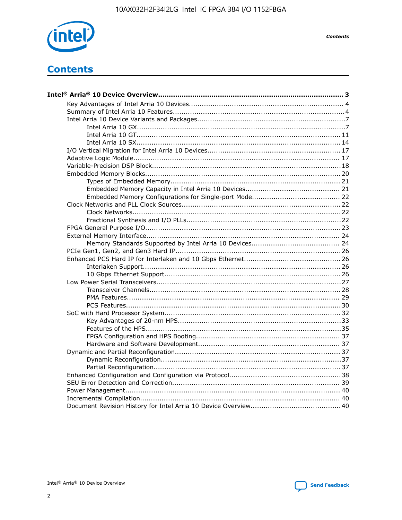

**Contents** 

# **Contents**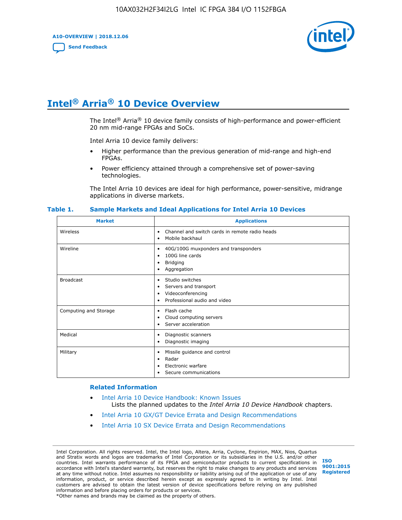**A10-OVERVIEW | 2018.12.06**

**[Send Feedback](mailto:FPGAtechdocfeedback@intel.com?subject=Feedback%20on%20Intel%20Arria%2010%20Device%20Overview%20(A10-OVERVIEW%202018.12.06)&body=We%20appreciate%20your%20feedback.%20In%20your%20comments,%20also%20specify%20the%20page%20number%20or%20paragraph.%20Thank%20you.)**



# **Intel® Arria® 10 Device Overview**

The Intel<sup>®</sup> Arria<sup>®</sup> 10 device family consists of high-performance and power-efficient 20 nm mid-range FPGAs and SoCs.

Intel Arria 10 device family delivers:

- Higher performance than the previous generation of mid-range and high-end FPGAs.
- Power efficiency attained through a comprehensive set of power-saving technologies.

The Intel Arria 10 devices are ideal for high performance, power-sensitive, midrange applications in diverse markets.

| <b>Market</b>         | <b>Applications</b>                                                                                               |
|-----------------------|-------------------------------------------------------------------------------------------------------------------|
| Wireless              | Channel and switch cards in remote radio heads<br>٠<br>Mobile backhaul<br>٠                                       |
| Wireline              | 40G/100G muxponders and transponders<br>٠<br>100G line cards<br>٠<br>Bridging<br>٠<br>Aggregation<br>٠            |
| <b>Broadcast</b>      | Studio switches<br>٠<br>Servers and transport<br>٠<br>Videoconferencing<br>٠<br>Professional audio and video<br>٠ |
| Computing and Storage | Flash cache<br>٠<br>Cloud computing servers<br>٠<br>Server acceleration<br>٠                                      |
| Medical               | Diagnostic scanners<br>٠<br>Diagnostic imaging<br>٠                                                               |
| Military              | Missile guidance and control<br>٠<br>Radar<br>٠<br>Electronic warfare<br>٠<br>Secure communications<br>٠          |

#### **Table 1. Sample Markets and Ideal Applications for Intel Arria 10 Devices**

#### **Related Information**

- [Intel Arria 10 Device Handbook: Known Issues](http://www.altera.com/support/kdb/solutions/rd07302013_646.html) Lists the planned updates to the *Intel Arria 10 Device Handbook* chapters.
- [Intel Arria 10 GX/GT Device Errata and Design Recommendations](https://www.intel.com/content/www/us/en/programmable/documentation/agz1493851706374.html#yqz1494433888646)
- [Intel Arria 10 SX Device Errata and Design Recommendations](https://www.intel.com/content/www/us/en/programmable/documentation/cru1462832385668.html#cru1462832558642)

Intel Corporation. All rights reserved. Intel, the Intel logo, Altera, Arria, Cyclone, Enpirion, MAX, Nios, Quartus and Stratix words and logos are trademarks of Intel Corporation or its subsidiaries in the U.S. and/or other countries. Intel warrants performance of its FPGA and semiconductor products to current specifications in accordance with Intel's standard warranty, but reserves the right to make changes to any products and services at any time without notice. Intel assumes no responsibility or liability arising out of the application or use of any information, product, or service described herein except as expressly agreed to in writing by Intel. Intel customers are advised to obtain the latest version of device specifications before relying on any published information and before placing orders for products or services. \*Other names and brands may be claimed as the property of others.

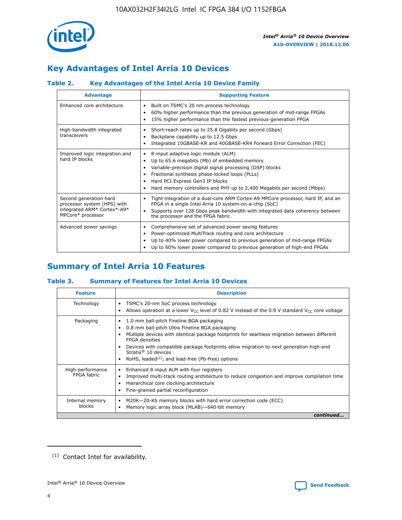

# **Key Advantages of Intel Arria 10 Devices**

# **Table 2. Key Advantages of the Intel Arria 10 Device Family**

| <b>Advantage</b>                                                                                          | <b>Supporting Feature</b>                                                                                                                                                                                                                                                                                                |
|-----------------------------------------------------------------------------------------------------------|--------------------------------------------------------------------------------------------------------------------------------------------------------------------------------------------------------------------------------------------------------------------------------------------------------------------------|
| Enhanced core architecture                                                                                | Built on TSMC's 20 nm process technology<br>٠<br>60% higher performance than the previous generation of mid-range FPGAs<br>٠<br>15% higher performance than the fastest previous-generation FPGA<br>٠                                                                                                                    |
| High-bandwidth integrated<br>transceivers                                                                 | Short-reach rates up to 25.8 Gigabits per second (Gbps)<br>٠<br>Backplane capability up to 12.5 Gbps<br>٠<br>Integrated 10GBASE-KR and 40GBASE-KR4 Forward Error Correction (FEC)<br>٠                                                                                                                                   |
| Improved logic integration and<br>hard IP blocks                                                          | 8-input adaptive logic module (ALM)<br>٠<br>Up to 65.6 megabits (Mb) of embedded memory<br>٠<br>Variable-precision digital signal processing (DSP) blocks<br>Fractional synthesis phase-locked loops (PLLs)<br>Hard PCI Express Gen3 IP blocks<br>Hard memory controllers and PHY up to 2,400 Megabits per second (Mbps) |
| Second generation hard<br>processor system (HPS) with<br>integrated ARM* Cortex*-A9*<br>MPCore* processor | Tight integration of a dual-core ARM Cortex-A9 MPCore processor, hard IP, and an<br>٠<br>FPGA in a single Intel Arria 10 system-on-a-chip (SoC)<br>Supports over 128 Gbps peak bandwidth with integrated data coherency between<br>$\bullet$<br>the processor and the FPGA fabric                                        |
| Advanced power savings                                                                                    | Comprehensive set of advanced power saving features<br>٠<br>Power-optimized MultiTrack routing and core architecture<br>٠<br>Up to 40% lower power compared to previous generation of mid-range FPGAs<br>Up to 60% lower power compared to previous generation of high-end FPGAs                                         |

# **Summary of Intel Arria 10 Features**

## **Table 3. Summary of Features for Intel Arria 10 Devices**

| <b>Feature</b>                  | <b>Description</b>                                                                                                                                                                                                                                                                                                                                                                                 |
|---------------------------------|----------------------------------------------------------------------------------------------------------------------------------------------------------------------------------------------------------------------------------------------------------------------------------------------------------------------------------------------------------------------------------------------------|
| Technology                      | TSMC's 20-nm SoC process technology<br>Allows operation at a lower $V_{\text{CC}}$ level of 0.82 V instead of the 0.9 V standard $V_{\text{CC}}$ core voltage                                                                                                                                                                                                                                      |
| Packaging                       | 1.0 mm ball-pitch Fineline BGA packaging<br>٠<br>0.8 mm ball-pitch Ultra Fineline BGA packaging<br>Multiple devices with identical package footprints for seamless migration between different<br><b>FPGA</b> densities<br>Devices with compatible package footprints allow migration to next generation high-end<br>Stratix $@10$ devices<br>RoHS, leaded $(1)$ , and lead-free (Pb-free) options |
| High-performance<br>FPGA fabric | Enhanced 8-input ALM with four registers<br>Improved multi-track routing architecture to reduce congestion and improve compilation time<br>Hierarchical core clocking architecture<br>Fine-grained partial reconfiguration                                                                                                                                                                         |
| Internal memory<br>blocks       | M20K-20-Kb memory blocks with hard error correction code (ECC)<br>Memory logic array block (MLAB)-640-bit memory                                                                                                                                                                                                                                                                                   |
|                                 | continued                                                                                                                                                                                                                                                                                                                                                                                          |



<sup>(1)</sup> Contact Intel for availability.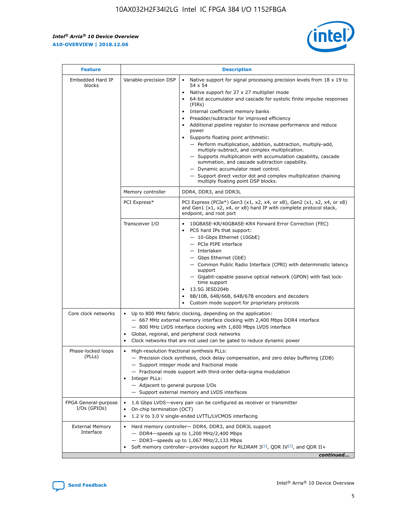r



| <b>Feature</b>                         | <b>Description</b>                                                                                             |                                                                                                                                                                                                                                                                                                                                                                                                                                                                                                                                                                                                                                                                                                                                                                                                                                        |  |  |  |  |  |
|----------------------------------------|----------------------------------------------------------------------------------------------------------------|----------------------------------------------------------------------------------------------------------------------------------------------------------------------------------------------------------------------------------------------------------------------------------------------------------------------------------------------------------------------------------------------------------------------------------------------------------------------------------------------------------------------------------------------------------------------------------------------------------------------------------------------------------------------------------------------------------------------------------------------------------------------------------------------------------------------------------------|--|--|--|--|--|
| Embedded Hard IP<br>blocks             | Variable-precision DSP                                                                                         | Native support for signal processing precision levels from $18 \times 19$ to<br>54 x 54<br>Native support for 27 x 27 multiplier mode<br>64-bit accumulator and cascade for systolic finite impulse responses<br>(FIRs)<br>Internal coefficient memory banks<br>$\bullet$<br>Preadder/subtractor for improved efficiency<br>Additional pipeline register to increase performance and reduce<br>power<br>Supports floating point arithmetic:<br>- Perform multiplication, addition, subtraction, multiply-add,<br>multiply-subtract, and complex multiplication.<br>- Supports multiplication with accumulation capability, cascade<br>summation, and cascade subtraction capability.<br>- Dynamic accumulator reset control.<br>- Support direct vector dot and complex multiplication chaining<br>multiply floating point DSP blocks. |  |  |  |  |  |
|                                        | Memory controller                                                                                              | DDR4, DDR3, and DDR3L                                                                                                                                                                                                                                                                                                                                                                                                                                                                                                                                                                                                                                                                                                                                                                                                                  |  |  |  |  |  |
|                                        | PCI Express*                                                                                                   | PCI Express (PCIe*) Gen3 (x1, x2, x4, or x8), Gen2 (x1, x2, x4, or x8)<br>and Gen1 (x1, x2, x4, or x8) hard IP with complete protocol stack,<br>endpoint, and root port                                                                                                                                                                                                                                                                                                                                                                                                                                                                                                                                                                                                                                                                |  |  |  |  |  |
|                                        | Transceiver I/O                                                                                                | 10GBASE-KR/40GBASE-KR4 Forward Error Correction (FEC)<br>PCS hard IPs that support:<br>$\bullet$<br>- 10-Gbps Ethernet (10GbE)<br>- PCIe PIPE interface<br>$-$ Interlaken<br>- Gbps Ethernet (GbE)<br>- Common Public Radio Interface (CPRI) with deterministic latency<br>support<br>- Gigabit-capable passive optical network (GPON) with fast lock-<br>time support<br>13.5G JESD204b<br>$\bullet$<br>8B/10B, 64B/66B, 64B/67B encoders and decoders<br>Custom mode support for proprietary protocols                                                                                                                                                                                                                                                                                                                               |  |  |  |  |  |
| Core clock networks                    | $\bullet$<br>$\bullet$                                                                                         | Up to 800 MHz fabric clocking, depending on the application:<br>- 667 MHz external memory interface clocking with 2,400 Mbps DDR4 interface<br>- 800 MHz LVDS interface clocking with 1,600 Mbps LVDS interface<br>Global, regional, and peripheral clock networks<br>Clock networks that are not used can be gated to reduce dynamic power                                                                                                                                                                                                                                                                                                                                                                                                                                                                                            |  |  |  |  |  |
| Phase-locked loops<br>(PLLs)           | High-resolution fractional synthesis PLLs:<br>$\bullet$<br>Integer PLLs:<br>- Adjacent to general purpose I/Os | - Precision clock synthesis, clock delay compensation, and zero delay buffering (ZDB)<br>- Support integer mode and fractional mode<br>- Fractional mode support with third-order delta-sigma modulation<br>- Support external memory and LVDS interfaces                                                                                                                                                                                                                                                                                                                                                                                                                                                                                                                                                                              |  |  |  |  |  |
| FPGA General-purpose<br>$I/Os$ (GPIOs) | On-chip termination (OCT)                                                                                      | 1.6 Gbps LVDS-every pair can be configured as receiver or transmitter<br>1.2 V to 3.0 V single-ended LVTTL/LVCMOS interfacing                                                                                                                                                                                                                                                                                                                                                                                                                                                                                                                                                                                                                                                                                                          |  |  |  |  |  |
| <b>External Memory</b><br>Interface    |                                                                                                                | Hard memory controller- DDR4, DDR3, and DDR3L support<br>$-$ DDR4-speeds up to 1,200 MHz/2,400 Mbps<br>- DDR3-speeds up to 1,067 MHz/2,133 Mbps<br>Soft memory controller—provides support for RLDRAM $3^{(2)}$ , QDR IV $^{(2)}$ , and QDR II+<br>continued                                                                                                                                                                                                                                                                                                                                                                                                                                                                                                                                                                           |  |  |  |  |  |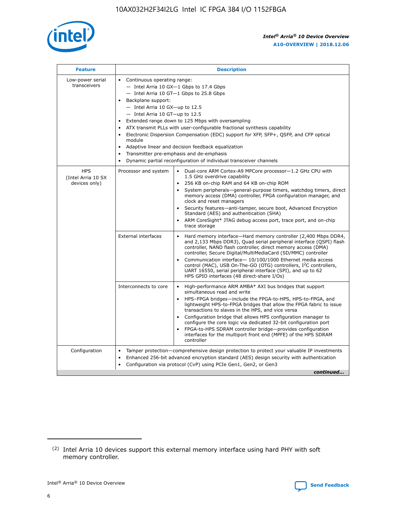

| <b>Feature</b>                                    | <b>Description</b>                                                                                                                                                                                                                                                                                                                                                                                                                                                                                                                                                                                                                                                        |
|---------------------------------------------------|---------------------------------------------------------------------------------------------------------------------------------------------------------------------------------------------------------------------------------------------------------------------------------------------------------------------------------------------------------------------------------------------------------------------------------------------------------------------------------------------------------------------------------------------------------------------------------------------------------------------------------------------------------------------------|
| Low-power serial<br>transceivers                  | • Continuous operating range:<br>- Intel Arria 10 GX-1 Gbps to 17.4 Gbps<br>$-$ Intel Arria 10 GT $-1$ Gbps to 25.8 Gbps<br>Backplane support:<br>$\bullet$<br>$-$ Intel Arria 10 GX-up to 12.5<br>$-$ Intel Arria 10 GT-up to 12.5<br>Extended range down to 125 Mbps with oversampling<br>ATX transmit PLLs with user-configurable fractional synthesis capability<br>Electronic Dispersion Compensation (EDC) support for XFP, SFP+, OSFP, and CFP optical<br>module<br>Adaptive linear and decision feedback equalization<br>$\bullet$<br>Transmitter pre-emphasis and de-emphasis<br>$\bullet$<br>Dynamic partial reconfiguration of individual transceiver channels |
| <b>HPS</b><br>(Intel Arria 10 SX<br>devices only) | Dual-core ARM Cortex-A9 MPCore processor-1.2 GHz CPU with<br>Processor and system<br>$\bullet$<br>1.5 GHz overdrive capability<br>256 KB on-chip RAM and 64 KB on-chip ROM<br>System peripherals-general-purpose timers, watchdog timers, direct<br>memory access (DMA) controller, FPGA configuration manager, and<br>clock and reset managers<br>• Security features—anti-tamper, secure boot, Advanced Encryption<br>Standard (AES) and authentication (SHA)<br>ARM CoreSight* JTAG debug access port, trace port, and on-chip<br>$\bullet$<br>trace storage                                                                                                           |
|                                                   | <b>External interfaces</b><br>Hard memory interface—Hard memory controller (2,400 Mbps DDR4,<br>and 2,133 Mbps DDR3), Quad serial peripheral interface (QSPI) flash<br>controller, NAND flash controller, direct memory access (DMA)<br>controller, Secure Digital/MultiMediaCard (SD/MMC) controller<br>Communication interface-10/100/1000 Ethernet media access<br>$\bullet$<br>control (MAC), USB On-The-GO (OTG) controllers, I <sup>2</sup> C controllers,<br>UART 16550, serial peripheral interface (SPI), and up to 62<br>HPS GPIO interfaces (48 direct-share I/Os)                                                                                             |
|                                                   | Interconnects to core<br>• High-performance ARM AMBA* AXI bus bridges that support<br>simultaneous read and write<br>HPS-FPGA bridges-include the FPGA-to-HPS, HPS-to-FPGA, and<br>$\bullet$<br>lightweight HPS-to-FPGA bridges that allow the FPGA fabric to issue<br>transactions to slaves in the HPS, and vice versa<br>Configuration bridge that allows HPS configuration manager to<br>configure the core logic via dedicated 32-bit configuration port<br>FPGA-to-HPS SDRAM controller bridge-provides configuration<br>interfaces for the multiport front end (MPFE) of the HPS SDRAM<br>controller                                                               |
| Configuration                                     | Tamper protection—comprehensive design protection to protect your valuable IP investments<br>Enhanced 256-bit advanced encryption standard (AES) design security with authentication<br>$\bullet$<br>Configuration via protocol (CvP) using PCIe Gen1, Gen2, or Gen3<br>continued                                                                                                                                                                                                                                                                                                                                                                                         |

<sup>(2)</sup> Intel Arria 10 devices support this external memory interface using hard PHY with soft memory controller.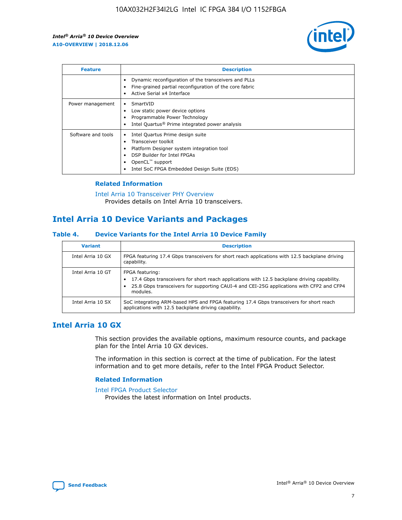

| <b>Feature</b>     | <b>Description</b>                                                                                                                                                                                               |
|--------------------|------------------------------------------------------------------------------------------------------------------------------------------------------------------------------------------------------------------|
|                    | Dynamic reconfiguration of the transceivers and PLLs<br>Fine-grained partial reconfiguration of the core fabric<br>Active Serial x4 Interface<br>$\bullet$                                                       |
| Power management   | SmartVID<br>Low static power device options<br>Programmable Power Technology<br>Intel Quartus <sup>®</sup> Prime integrated power analysis                                                                       |
| Software and tools | Intel Quartus Prime design suite<br>Transceiver toolkit<br>Platform Designer system integration tool<br>DSP Builder for Intel FPGAs<br>OpenCL <sup>™</sup> support<br>Intel SoC FPGA Embedded Design Suite (EDS) |

## **Related Information**

[Intel Arria 10 Transceiver PHY Overview](https://www.intel.com/content/www/us/en/programmable/documentation/nik1398707230472.html#nik1398706768037) Provides details on Intel Arria 10 transceivers.

# **Intel Arria 10 Device Variants and Packages**

#### **Table 4. Device Variants for the Intel Arria 10 Device Family**

| <b>Variant</b>    | <b>Description</b>                                                                                                                                                                                                     |
|-------------------|------------------------------------------------------------------------------------------------------------------------------------------------------------------------------------------------------------------------|
| Intel Arria 10 GX | FPGA featuring 17.4 Gbps transceivers for short reach applications with 12.5 backplane driving<br>capability.                                                                                                          |
| Intel Arria 10 GT | FPGA featuring:<br>17.4 Gbps transceivers for short reach applications with 12.5 backplane driving capability.<br>25.8 Gbps transceivers for supporting CAUI-4 and CEI-25G applications with CFP2 and CFP4<br>modules. |
| Intel Arria 10 SX | SoC integrating ARM-based HPS and FPGA featuring 17.4 Gbps transceivers for short reach<br>applications with 12.5 backplane driving capability.                                                                        |

# **Intel Arria 10 GX**

This section provides the available options, maximum resource counts, and package plan for the Intel Arria 10 GX devices.

The information in this section is correct at the time of publication. For the latest information and to get more details, refer to the Intel FPGA Product Selector.

#### **Related Information**

#### [Intel FPGA Product Selector](http://www.altera.com/products/selector/psg-selector.html) Provides the latest information on Intel products.

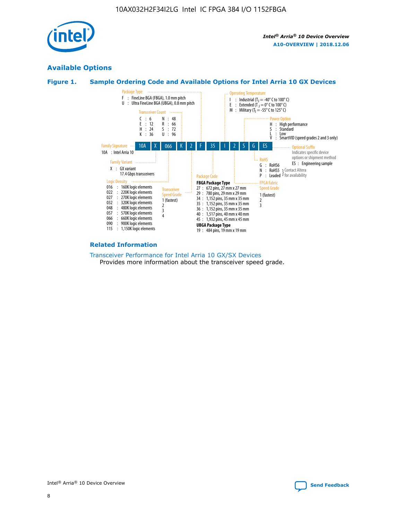

# **Available Options**





#### **Related Information**

[Transceiver Performance for Intel Arria 10 GX/SX Devices](https://www.intel.com/content/www/us/en/programmable/documentation/mcn1413182292568.html#mcn1413213965502) Provides more information about the transceiver speed grade.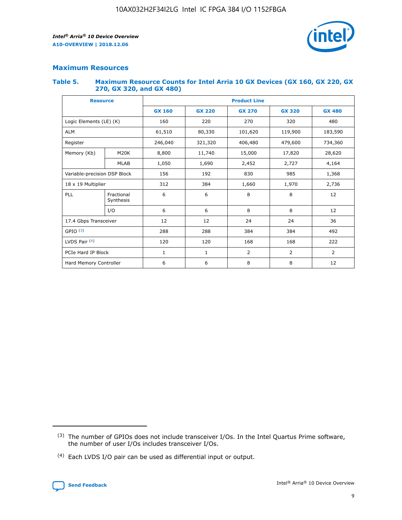

## **Maximum Resources**

#### **Table 5. Maximum Resource Counts for Intel Arria 10 GX Devices (GX 160, GX 220, GX 270, GX 320, and GX 480)**

| <b>Resource</b>              |                         | <b>Product Line</b> |                                                 |            |                |                |  |  |  |
|------------------------------|-------------------------|---------------------|-------------------------------------------------|------------|----------------|----------------|--|--|--|
|                              |                         | <b>GX 160</b>       | <b>GX 220</b><br><b>GX 270</b><br><b>GX 320</b> |            |                | <b>GX 480</b>  |  |  |  |
| Logic Elements (LE) (K)      |                         | 160                 | 220                                             | 270        | 320            | 480            |  |  |  |
| <b>ALM</b>                   |                         | 61,510              | 80,330                                          | 101,620    | 119,900        | 183,590        |  |  |  |
| Register                     |                         | 246,040             | 321,320                                         | 406,480    | 479,600        | 734,360        |  |  |  |
| Memory (Kb)                  | M <sub>20</sub> K       | 8,800               | 11,740                                          | 15,000     | 17,820         | 28,620         |  |  |  |
| <b>MLAB</b>                  |                         | 1,050               | 1,690                                           | 2,452      | 2,727          | 4,164          |  |  |  |
| Variable-precision DSP Block |                         | 156                 | 192<br>830<br>985<br>1,368                      |            |                |                |  |  |  |
| 18 x 19 Multiplier           |                         | 312                 | 384                                             | 1,660      | 1,970          | 2,736          |  |  |  |
| PLL                          | Fractional<br>Synthesis | 6                   | 6                                               | 8          | 8              | 12             |  |  |  |
|                              | I/O                     | 6                   | 6                                               | 8          | 8              | 12             |  |  |  |
| 17.4 Gbps Transceiver        |                         | 12                  | 12                                              | 24         | 24             | 36             |  |  |  |
| GPIO <sup>(3)</sup>          |                         | 288                 | 288                                             | 384<br>384 |                | 492            |  |  |  |
| LVDS Pair $(4)$              |                         | 120                 | 120                                             | 168        | 168            | 222            |  |  |  |
| PCIe Hard IP Block           |                         | 1                   | 1                                               | 2          | $\overline{2}$ | $\overline{2}$ |  |  |  |
| Hard Memory Controller       |                         | 6                   | 6                                               | 8          | 8              | 12             |  |  |  |

<sup>(4)</sup> Each LVDS I/O pair can be used as differential input or output.



<sup>(3)</sup> The number of GPIOs does not include transceiver I/Os. In the Intel Quartus Prime software, the number of user I/Os includes transceiver I/Os.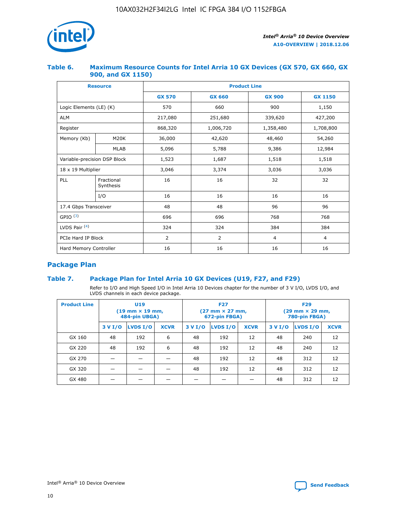

## **Table 6. Maximum Resource Counts for Intel Arria 10 GX Devices (GX 570, GX 660, GX 900, and GX 1150)**

|                              | <b>Resource</b>         | <b>Product Line</b> |                |                |                |  |  |  |
|------------------------------|-------------------------|---------------------|----------------|----------------|----------------|--|--|--|
|                              |                         | <b>GX 570</b>       | <b>GX 660</b>  | <b>GX 900</b>  | <b>GX 1150</b> |  |  |  |
| Logic Elements (LE) (K)      |                         | 570                 | 660            | 900            | 1,150          |  |  |  |
| <b>ALM</b>                   |                         | 217,080             | 251,680        | 339,620        | 427,200        |  |  |  |
| Register                     |                         | 868,320             | 1,006,720      | 1,358,480      | 1,708,800      |  |  |  |
| Memory (Kb)                  | <b>M20K</b>             | 36,000              | 42,620         | 48,460         | 54,260         |  |  |  |
|                              | <b>MLAB</b>             | 5,096               | 5,788          |                | 12,984         |  |  |  |
| Variable-precision DSP Block |                         | 1,523               | 1,687          | 1,518          | 1,518          |  |  |  |
| 18 x 19 Multiplier           |                         | 3,046               | 3,374          | 3,036          | 3,036          |  |  |  |
| PLL                          | Fractional<br>Synthesis | 16                  | 16             | 32             | 32             |  |  |  |
|                              | I/O                     | 16                  | 16             | 16             | 16             |  |  |  |
| 17.4 Gbps Transceiver        |                         | 48                  | 48             | 96             | 96             |  |  |  |
| GPIO <sup>(3)</sup>          |                         | 696                 | 696            | 768            | 768            |  |  |  |
| LVDS Pair $(4)$              |                         | 324                 | 324            | 384            | 384            |  |  |  |
| PCIe Hard IP Block           |                         | 2                   | $\overline{2}$ | $\overline{4}$ | $\overline{4}$ |  |  |  |
| Hard Memory Controller       |                         | 16                  | 16             | 16             | 16             |  |  |  |

# **Package Plan**

# **Table 7. Package Plan for Intel Arria 10 GX Devices (U19, F27, and F29)**

Refer to I/O and High Speed I/O in Intel Arria 10 Devices chapter for the number of 3 V I/O, LVDS I/O, and LVDS channels in each device package.

| <b>Product Line</b> | <b>U19</b><br>$(19 \text{ mm} \times 19 \text{ mm})$<br>484-pin UBGA) |          |             |         | <b>F27</b><br>(27 mm × 27 mm,<br>672-pin FBGA) |             | <b>F29</b><br>(29 mm × 29 mm,<br>780-pin FBGA) |          |             |  |
|---------------------|-----------------------------------------------------------------------|----------|-------------|---------|------------------------------------------------|-------------|------------------------------------------------|----------|-------------|--|
|                     | 3 V I/O                                                               | LVDS I/O | <b>XCVR</b> | 3 V I/O | <b>LVDS I/O</b>                                | <b>XCVR</b> | 3 V I/O                                        | LVDS I/O | <b>XCVR</b> |  |
| GX 160              | 48                                                                    | 192      | 6           | 48      | 192                                            | 12          | 48                                             | 240      | 12          |  |
| GX 220              | 48                                                                    | 192      | 6           | 48      | 192                                            | 12          | 48                                             | 240      | 12          |  |
| GX 270              |                                                                       |          |             | 48      | 192                                            | 12          | 48                                             | 312      | 12          |  |
| GX 320              |                                                                       |          |             | 48      | 192                                            | 12          | 48                                             | 312      | 12          |  |
| GX 480              |                                                                       |          |             |         |                                                |             | 48                                             | 312      | 12          |  |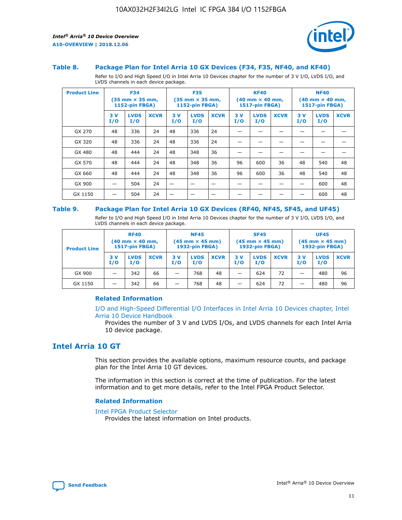

#### **Table 8. Package Plan for Intel Arria 10 GX Devices (F34, F35, NF40, and KF40)**

Refer to I/O and High Speed I/O in Intel Arria 10 Devices chapter for the number of 3 V I/O, LVDS I/O, and LVDS channels in each device package.

| <b>Product Line</b> | <b>F34</b><br>$(35 \text{ mm} \times 35 \text{ mm})$<br>1152-pin FBGA) |                    | <b>F35</b><br>$(35 \text{ mm} \times 35 \text{ mm})$<br><b>1152-pin FBGA)</b> |           | <b>KF40</b><br>$(40 \text{ mm} \times 40 \text{ mm})$<br>1517-pin FBGA) |             |            | <b>NF40</b><br>$(40 \text{ mm} \times 40 \text{ mm})$<br><b>1517-pin FBGA)</b> |             |            |                    |             |
|---------------------|------------------------------------------------------------------------|--------------------|-------------------------------------------------------------------------------|-----------|-------------------------------------------------------------------------|-------------|------------|--------------------------------------------------------------------------------|-------------|------------|--------------------|-------------|
|                     | 3V<br>I/O                                                              | <b>LVDS</b><br>I/O | <b>XCVR</b>                                                                   | 3V<br>I/O | <b>LVDS</b><br>I/O                                                      | <b>XCVR</b> | 3 V<br>I/O | <b>LVDS</b><br>I/O                                                             | <b>XCVR</b> | 3 V<br>I/O | <b>LVDS</b><br>I/O | <b>XCVR</b> |
| GX 270              | 48                                                                     | 336                | 24                                                                            | 48        | 336                                                                     | 24          |            |                                                                                |             |            |                    |             |
| GX 320              | 48                                                                     | 336                | 24                                                                            | 48        | 336                                                                     | 24          |            |                                                                                |             |            |                    |             |
| GX 480              | 48                                                                     | 444                | 24                                                                            | 48        | 348                                                                     | 36          |            |                                                                                |             |            |                    |             |
| GX 570              | 48                                                                     | 444                | 24                                                                            | 48        | 348                                                                     | 36          | 96         | 600                                                                            | 36          | 48         | 540                | 48          |
| GX 660              | 48                                                                     | 444                | 24                                                                            | 48        | 348                                                                     | 36          | 96         | 600                                                                            | 36          | 48         | 540                | 48          |
| GX 900              |                                                                        | 504                | 24                                                                            | -         |                                                                         |             |            |                                                                                |             |            | 600                | 48          |
| GX 1150             |                                                                        | 504                | 24                                                                            |           |                                                                         |             |            |                                                                                |             |            | 600                | 48          |

#### **Table 9. Package Plan for Intel Arria 10 GX Devices (RF40, NF45, SF45, and UF45)**

Refer to I/O and High Speed I/O in Intel Arria 10 Devices chapter for the number of 3 V I/O, LVDS I/O, and LVDS channels in each device package.

| <b>Product Line</b> | <b>RF40</b><br>$(40$ mm $\times$ 40 mm,<br>1517-pin FBGA) |                    |             | <b>NF45</b><br>$(45 \text{ mm} \times 45 \text{ mm})$<br><b>1932-pin FBGA)</b> |                    |             | <b>SF45</b><br>$(45 \text{ mm} \times 45 \text{ mm})$<br><b>1932-pin FBGA)</b> |                    |             | <b>UF45</b><br>$(45 \text{ mm} \times 45 \text{ mm})$<br><b>1932-pin FBGA)</b> |                    |             |
|---------------------|-----------------------------------------------------------|--------------------|-------------|--------------------------------------------------------------------------------|--------------------|-------------|--------------------------------------------------------------------------------|--------------------|-------------|--------------------------------------------------------------------------------|--------------------|-------------|
|                     | 3V<br>I/O                                                 | <b>LVDS</b><br>I/O | <b>XCVR</b> | 3 V<br>I/O                                                                     | <b>LVDS</b><br>I/O | <b>XCVR</b> | 3 V<br>I/O                                                                     | <b>LVDS</b><br>I/O | <b>XCVR</b> | 3V<br>I/O                                                                      | <b>LVDS</b><br>I/O | <b>XCVR</b> |
| GX 900              |                                                           | 342                | 66          | _                                                                              | 768                | 48          |                                                                                | 624                | 72          |                                                                                | 480                | 96          |
| GX 1150             |                                                           | 342                | 66          | _                                                                              | 768                | 48          |                                                                                | 624                | 72          |                                                                                | 480                | 96          |

## **Related Information**

[I/O and High-Speed Differential I/O Interfaces in Intel Arria 10 Devices chapter, Intel](https://www.intel.com/content/www/us/en/programmable/documentation/sam1403482614086.html#sam1403482030321) [Arria 10 Device Handbook](https://www.intel.com/content/www/us/en/programmable/documentation/sam1403482614086.html#sam1403482030321)

Provides the number of 3 V and LVDS I/Os, and LVDS channels for each Intel Arria 10 device package.

# **Intel Arria 10 GT**

This section provides the available options, maximum resource counts, and package plan for the Intel Arria 10 GT devices.

The information in this section is correct at the time of publication. For the latest information and to get more details, refer to the Intel FPGA Product Selector.

#### **Related Information**

#### [Intel FPGA Product Selector](http://www.altera.com/products/selector/psg-selector.html)

Provides the latest information on Intel products.

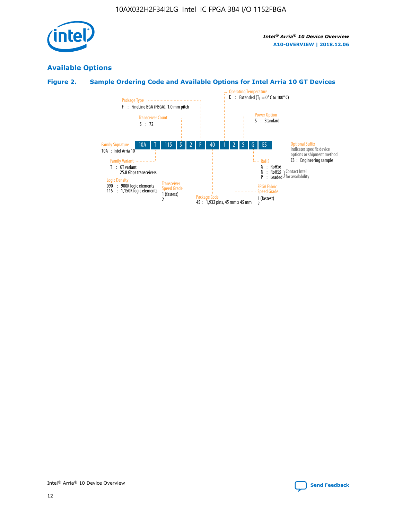

# **Available Options**

# **Figure 2. Sample Ordering Code and Available Options for Intel Arria 10 GT Devices**

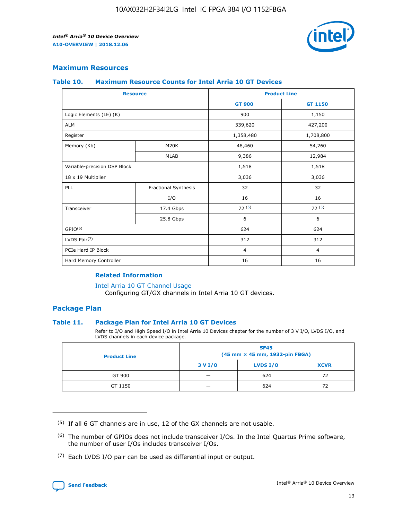

## **Maximum Resources**

#### **Table 10. Maximum Resource Counts for Intel Arria 10 GT Devices**

| <b>Resource</b>              |                      | <b>Product Line</b> |                |  |
|------------------------------|----------------------|---------------------|----------------|--|
|                              |                      | <b>GT 900</b>       | GT 1150        |  |
| Logic Elements (LE) (K)      |                      | 900                 | 1,150          |  |
| <b>ALM</b>                   |                      | 339,620             | 427,200        |  |
| Register                     |                      | 1,358,480           | 1,708,800      |  |
| Memory (Kb)                  | M <sub>20</sub> K    | 48,460              | 54,260         |  |
|                              | <b>MLAB</b>          | 9,386               | 12,984         |  |
| Variable-precision DSP Block |                      | 1,518               | 1,518          |  |
| 18 x 19 Multiplier           |                      | 3,036               | 3,036          |  |
| <b>PLL</b>                   | Fractional Synthesis | 32                  | 32             |  |
|                              | I/O                  | 16                  | 16             |  |
| Transceiver                  | 17.4 Gbps            | 72(5)               | 72(5)          |  |
|                              | 25.8 Gbps            | 6                   | 6              |  |
| GPIO <sup>(6)</sup>          |                      | 624                 | 624            |  |
| LVDS Pair $(7)$              |                      | 312                 | 312            |  |
| PCIe Hard IP Block           |                      | $\overline{4}$      | $\overline{4}$ |  |
| Hard Memory Controller       |                      | 16                  | 16             |  |

#### **Related Information**

#### [Intel Arria 10 GT Channel Usage](https://www.intel.com/content/www/us/en/programmable/documentation/nik1398707230472.html#nik1398707008178)

Configuring GT/GX channels in Intel Arria 10 GT devices.

## **Package Plan**

## **Table 11. Package Plan for Intel Arria 10 GT Devices**

Refer to I/O and High Speed I/O in Intel Arria 10 Devices chapter for the number of 3 V I/O, LVDS I/O, and LVDS channels in each device package.

| <b>Product Line</b> | <b>SF45</b><br>(45 mm × 45 mm, 1932-pin FBGA) |                 |             |  |  |  |
|---------------------|-----------------------------------------------|-----------------|-------------|--|--|--|
|                     | 3 V I/O                                       | <b>LVDS I/O</b> | <b>XCVR</b> |  |  |  |
| GT 900              |                                               | 624             | 72          |  |  |  |
| GT 1150             |                                               | 624             | 72          |  |  |  |

<sup>(7)</sup> Each LVDS I/O pair can be used as differential input or output.



 $(5)$  If all 6 GT channels are in use, 12 of the GX channels are not usable.

<sup>(6)</sup> The number of GPIOs does not include transceiver I/Os. In the Intel Quartus Prime software, the number of user I/Os includes transceiver I/Os.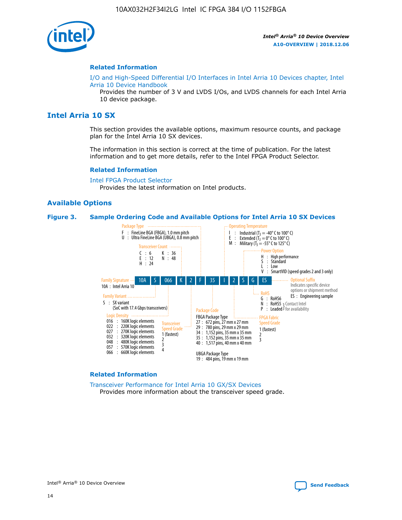

#### **Related Information**

[I/O and High-Speed Differential I/O Interfaces in Intel Arria 10 Devices chapter, Intel](https://www.intel.com/content/www/us/en/programmable/documentation/sam1403482614086.html#sam1403482030321) [Arria 10 Device Handbook](https://www.intel.com/content/www/us/en/programmable/documentation/sam1403482614086.html#sam1403482030321)

Provides the number of 3 V and LVDS I/Os, and LVDS channels for each Intel Arria 10 device package.

# **Intel Arria 10 SX**

This section provides the available options, maximum resource counts, and package plan for the Intel Arria 10 SX devices.

The information in this section is correct at the time of publication. For the latest information and to get more details, refer to the Intel FPGA Product Selector.

#### **Related Information**

[Intel FPGA Product Selector](http://www.altera.com/products/selector/psg-selector.html) Provides the latest information on Intel products.

#### **Available Options**

#### **Figure 3. Sample Ordering Code and Available Options for Intel Arria 10 SX Devices**



#### **Related Information**

[Transceiver Performance for Intel Arria 10 GX/SX Devices](https://www.intel.com/content/www/us/en/programmable/documentation/mcn1413182292568.html#mcn1413213965502) Provides more information about the transceiver speed grade.

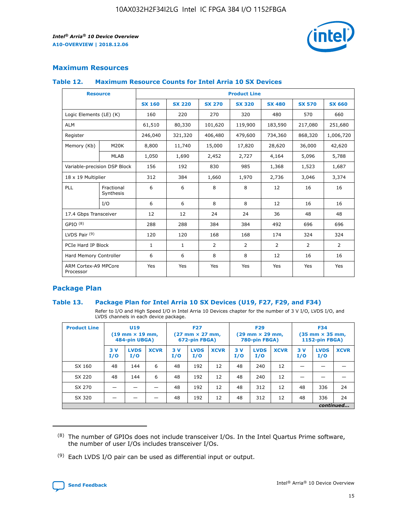

# **Maximum Resources**

## **Table 12. Maximum Resource Counts for Intel Arria 10 SX Devices**

| <b>Resource</b>                   |                         | <b>Product Line</b> |               |                |                |                |                |               |  |  |  |
|-----------------------------------|-------------------------|---------------------|---------------|----------------|----------------|----------------|----------------|---------------|--|--|--|
|                                   |                         | <b>SX 160</b>       | <b>SX 220</b> | <b>SX 270</b>  | <b>SX 320</b>  | <b>SX 480</b>  | <b>SX 570</b>  | <b>SX 660</b> |  |  |  |
| Logic Elements (LE) (K)           |                         | 160                 | 220           | 270            | 320            | 480            | 570            | 660           |  |  |  |
| <b>ALM</b>                        |                         | 61,510              | 80,330        | 101,620        | 119,900        | 183,590        | 217,080        | 251,680       |  |  |  |
| Register                          |                         | 246,040             | 321,320       | 406,480        | 479,600        | 734,360        | 868,320        | 1,006,720     |  |  |  |
| Memory (Kb)                       | M <sub>20</sub> K       | 8,800               | 11,740        | 15,000         | 17,820         | 28,620         | 36,000         | 42,620        |  |  |  |
|                                   | <b>MLAB</b>             | 1,050               | 1,690         | 2,452          | 2,727          | 4,164          | 5,096          | 5,788         |  |  |  |
| Variable-precision DSP Block      |                         | 156                 | 192           | 830            | 985            | 1,368          | 1,523          | 1,687         |  |  |  |
| 18 x 19 Multiplier                |                         | 312                 | 384           | 1,660          | 1,970          | 2,736          | 3,046          | 3,374         |  |  |  |
| <b>PLL</b>                        | Fractional<br>Synthesis | 6                   | 6             | 8              | 8              | 12             | 16             | 16            |  |  |  |
|                                   | I/O                     | 6                   | 6             | 8              | 8              | 12             | 16             | 16            |  |  |  |
| 17.4 Gbps Transceiver             |                         | 12                  | 12            | 24             | 24             | 36             | 48             | 48            |  |  |  |
| GPIO <sup>(8)</sup>               |                         | 288                 | 288           | 384            | 384            | 492            | 696            | 696           |  |  |  |
| LVDS Pair $(9)$                   |                         | 120                 | 120           | 168            | 168            | 174            | 324            | 324           |  |  |  |
| PCIe Hard IP Block                |                         | $\mathbf{1}$        | 1             | $\overline{2}$ | $\overline{2}$ | $\overline{2}$ | $\overline{2}$ | 2             |  |  |  |
| Hard Memory Controller            |                         | 6                   | 6             | 8              | 8              | 12             | 16             | 16            |  |  |  |
| ARM Cortex-A9 MPCore<br>Processor |                         | Yes                 | Yes           | Yes            | Yes            | Yes            | Yes            | Yes           |  |  |  |

# **Package Plan**

## **Table 13. Package Plan for Intel Arria 10 SX Devices (U19, F27, F29, and F34)**

Refer to I/O and High Speed I/O in Intel Arria 10 Devices chapter for the number of 3 V I/O, LVDS I/O, and LVDS channels in each device package.

| <b>Product Line</b> | <b>U19</b><br>$(19$ mm $\times$ 19 mm,<br>484-pin UBGA) |                    |             | <b>F27</b><br>$(27 \text{ mm} \times 27 \text{ mm})$<br>672-pin FBGA) |                    | <b>F29</b><br>$(29 \text{ mm} \times 29 \text{ mm})$<br>780-pin FBGA) |           |                    | <b>F34</b><br>$(35 \text{ mm} \times 35 \text{ mm})$<br><b>1152-pin FBGA)</b> |           |                    |             |
|---------------------|---------------------------------------------------------|--------------------|-------------|-----------------------------------------------------------------------|--------------------|-----------------------------------------------------------------------|-----------|--------------------|-------------------------------------------------------------------------------|-----------|--------------------|-------------|
|                     | 3V<br>I/O                                               | <b>LVDS</b><br>I/O | <b>XCVR</b> | 3V<br>I/O                                                             | <b>LVDS</b><br>I/O | <b>XCVR</b>                                                           | 3V<br>I/O | <b>LVDS</b><br>I/O | <b>XCVR</b>                                                                   | 3V<br>I/O | <b>LVDS</b><br>I/O | <b>XCVR</b> |
| SX 160              | 48                                                      | 144                | 6           | 48                                                                    | 192                | 12                                                                    | 48        | 240                | 12                                                                            | -         |                    |             |
| SX 220              | 48                                                      | 144                | 6           | 48                                                                    | 192                | 12                                                                    | 48        | 240                | 12                                                                            |           |                    |             |
| SX 270              |                                                         |                    |             | 48                                                                    | 192                | 12                                                                    | 48        | 312                | 12                                                                            | 48        | 336                | 24          |
| SX 320              |                                                         |                    |             | 48                                                                    | 192                | 12                                                                    | 48        | 312                | 12                                                                            | 48        | 336                | 24          |
|                     |                                                         |                    |             |                                                                       |                    |                                                                       |           |                    |                                                                               |           |                    | continued   |

 $(8)$  The number of GPIOs does not include transceiver I/Os. In the Intel Quartus Prime software, the number of user I/Os includes transceiver I/Os.

 $(9)$  Each LVDS I/O pair can be used as differential input or output.

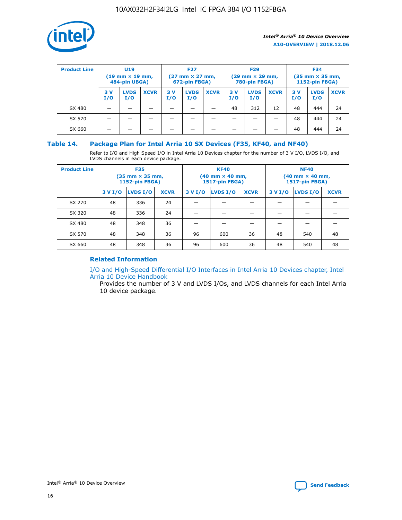

| <b>Product Line</b> | U <sub>19</sub><br>$(19 \text{ mm} \times 19 \text{ mm})$<br>484-pin UBGA) |                    | <b>F27</b><br>$(27 \text{ mm} \times 27 \text{ mm})$<br>672-pin FBGA) |           |                    | <b>F29</b><br>$(29 \text{ mm} \times 29 \text{ mm})$<br>780-pin FBGA) |           |                    | <b>F34</b><br>$(35$ mm $\times$ 35 mm,<br><b>1152-pin FBGA)</b> |           |                    |             |
|---------------------|----------------------------------------------------------------------------|--------------------|-----------------------------------------------------------------------|-----------|--------------------|-----------------------------------------------------------------------|-----------|--------------------|-----------------------------------------------------------------|-----------|--------------------|-------------|
|                     | 3V<br>I/O                                                                  | <b>LVDS</b><br>I/O | <b>XCVR</b>                                                           | 3V<br>I/O | <b>LVDS</b><br>I/O | <b>XCVR</b>                                                           | 3V<br>I/O | <b>LVDS</b><br>I/O | <b>XCVR</b>                                                     | 3V<br>I/O | <b>LVDS</b><br>I/O | <b>XCVR</b> |
| SX 480              |                                                                            |                    |                                                                       |           |                    |                                                                       | 48        | 312                | 12                                                              | 48        | 444                | 24          |
| SX 570              |                                                                            |                    |                                                                       |           |                    |                                                                       |           |                    |                                                                 | 48        | 444                | 24          |
| SX 660              |                                                                            |                    |                                                                       |           |                    |                                                                       |           |                    |                                                                 | 48        | 444                | 24          |

## **Table 14. Package Plan for Intel Arria 10 SX Devices (F35, KF40, and NF40)**

Refer to I/O and High Speed I/O in Intel Arria 10 Devices chapter for the number of 3 V I/O, LVDS I/O, and LVDS channels in each device package.

| <b>Product Line</b> | <b>F35</b><br>$(35 \text{ mm} \times 35 \text{ mm})$<br><b>1152-pin FBGA)</b> |          |             |                                           | <b>KF40</b><br>(40 mm × 40 mm,<br>1517-pin FBGA) |    | <b>NF40</b><br>$(40 \text{ mm} \times 40 \text{ mm})$<br>1517-pin FBGA) |          |             |  |
|---------------------|-------------------------------------------------------------------------------|----------|-------------|-------------------------------------------|--------------------------------------------------|----|-------------------------------------------------------------------------|----------|-------------|--|
|                     | 3 V I/O                                                                       | LVDS I/O | <b>XCVR</b> | <b>LVDS I/O</b><br><b>XCVR</b><br>3 V I/O |                                                  |    | 3 V I/O                                                                 | LVDS I/O | <b>XCVR</b> |  |
| SX 270              | 48                                                                            | 336      | 24          |                                           |                                                  |    |                                                                         |          |             |  |
| SX 320              | 48                                                                            | 336      | 24          |                                           |                                                  |    |                                                                         |          |             |  |
| SX 480              | 48                                                                            | 348      | 36          |                                           |                                                  |    |                                                                         |          |             |  |
| SX 570              | 48                                                                            | 348      | 36          | 96                                        | 600                                              | 36 | 48                                                                      | 540      | 48          |  |
| SX 660              | 48                                                                            | 348      | 36          | 96                                        | 600                                              | 36 | 48                                                                      | 540      | 48          |  |

# **Related Information**

[I/O and High-Speed Differential I/O Interfaces in Intel Arria 10 Devices chapter, Intel](https://www.intel.com/content/www/us/en/programmable/documentation/sam1403482614086.html#sam1403482030321) [Arria 10 Device Handbook](https://www.intel.com/content/www/us/en/programmable/documentation/sam1403482614086.html#sam1403482030321)

Provides the number of 3 V and LVDS I/Os, and LVDS channels for each Intel Arria 10 device package.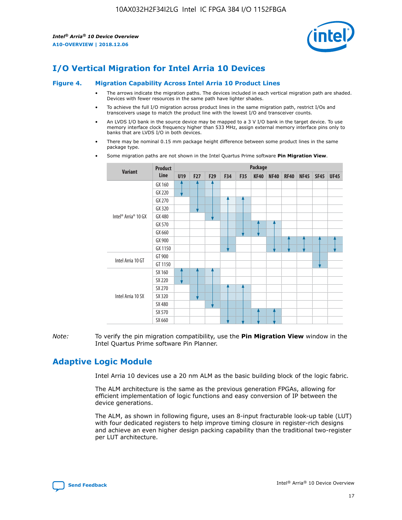

# **I/O Vertical Migration for Intel Arria 10 Devices**

#### **Figure 4. Migration Capability Across Intel Arria 10 Product Lines**

- The arrows indicate the migration paths. The devices included in each vertical migration path are shaded. Devices with fewer resources in the same path have lighter shades.
- To achieve the full I/O migration across product lines in the same migration path, restrict I/Os and transceivers usage to match the product line with the lowest I/O and transceiver counts.
- An LVDS I/O bank in the source device may be mapped to a 3 V I/O bank in the target device. To use memory interface clock frequency higher than 533 MHz, assign external memory interface pins only to banks that are LVDS I/O in both devices.
- There may be nominal 0.15 mm package height difference between some product lines in the same package type.
	- **Variant Product Line Package U19 F27 F29 F34 F35 KF40 NF40 RF40 NF45 SF45 UF45** Intel® Arria® 10 GX GX 160 GX 220 GX 270 GX 320 GX 480 GX 570 GX 660 GX 900 GX 1150 Intel Arria 10 GT GT 900 GT 1150 Intel Arria 10 SX SX 160 SX 220 SX 270 SX 320 SX 480 SX 570 SX 660
- Some migration paths are not shown in the Intel Quartus Prime software **Pin Migration View**.

*Note:* To verify the pin migration compatibility, use the **Pin Migration View** window in the Intel Quartus Prime software Pin Planner.

# **Adaptive Logic Module**

Intel Arria 10 devices use a 20 nm ALM as the basic building block of the logic fabric.

The ALM architecture is the same as the previous generation FPGAs, allowing for efficient implementation of logic functions and easy conversion of IP between the device generations.

The ALM, as shown in following figure, uses an 8-input fracturable look-up table (LUT) with four dedicated registers to help improve timing closure in register-rich designs and achieve an even higher design packing capability than the traditional two-register per LUT architecture.

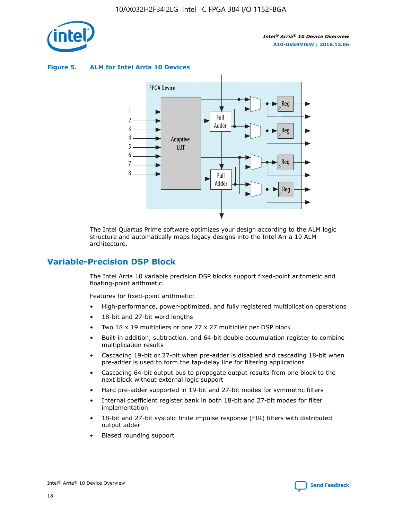

**Figure 5. ALM for Intel Arria 10 Devices**



The Intel Quartus Prime software optimizes your design according to the ALM logic structure and automatically maps legacy designs into the Intel Arria 10 ALM architecture.

# **Variable-Precision DSP Block**

The Intel Arria 10 variable precision DSP blocks support fixed-point arithmetic and floating-point arithmetic.

Features for fixed-point arithmetic:

- High-performance, power-optimized, and fully registered multiplication operations
- 18-bit and 27-bit word lengths
- Two 18 x 19 multipliers or one 27 x 27 multiplier per DSP block
- Built-in addition, subtraction, and 64-bit double accumulation register to combine multiplication results
- Cascading 19-bit or 27-bit when pre-adder is disabled and cascading 18-bit when pre-adder is used to form the tap-delay line for filtering applications
- Cascading 64-bit output bus to propagate output results from one block to the next block without external logic support
- Hard pre-adder supported in 19-bit and 27-bit modes for symmetric filters
- Internal coefficient register bank in both 18-bit and 27-bit modes for filter implementation
- 18-bit and 27-bit systolic finite impulse response (FIR) filters with distributed output adder
- Biased rounding support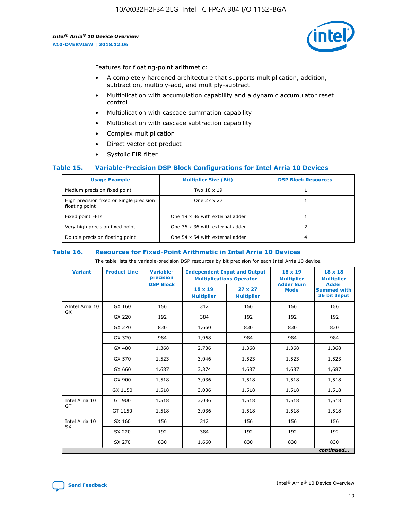

Features for floating-point arithmetic:

- A completely hardened architecture that supports multiplication, addition, subtraction, multiply-add, and multiply-subtract
- Multiplication with accumulation capability and a dynamic accumulator reset control
- Multiplication with cascade summation capability
- Multiplication with cascade subtraction capability
- Complex multiplication
- Direct vector dot product
- Systolic FIR filter

## **Table 15. Variable-Precision DSP Block Configurations for Intel Arria 10 Devices**

| <b>Usage Example</b>                                       | <b>Multiplier Size (Bit)</b>    | <b>DSP Block Resources</b> |
|------------------------------------------------------------|---------------------------------|----------------------------|
| Medium precision fixed point                               | Two 18 x 19                     |                            |
| High precision fixed or Single precision<br>floating point | One 27 x 27                     |                            |
| Fixed point FFTs                                           | One 19 x 36 with external adder |                            |
| Very high precision fixed point                            | One 36 x 36 with external adder |                            |
| Double precision floating point                            | One 54 x 54 with external adder | 4                          |

#### **Table 16. Resources for Fixed-Point Arithmetic in Intel Arria 10 Devices**

The table lists the variable-precision DSP resources by bit precision for each Intel Arria 10 device.

| <b>Variant</b>  | <b>Product Line</b> | <b>Variable-</b><br>precision<br><b>DSP Block</b> | <b>Independent Input and Output</b><br><b>Multiplications Operator</b> |                                     | 18 x 19<br><b>Multiplier</b><br><b>Adder Sum</b> | $18 \times 18$<br><b>Multiplier</b><br><b>Adder</b> |
|-----------------|---------------------|---------------------------------------------------|------------------------------------------------------------------------|-------------------------------------|--------------------------------------------------|-----------------------------------------------------|
|                 |                     |                                                   | 18 x 19<br><b>Multiplier</b>                                           | $27 \times 27$<br><b>Multiplier</b> | <b>Mode</b>                                      | <b>Summed with</b><br>36 bit Input                  |
| AIntel Arria 10 | GX 160              | 156                                               | 312                                                                    | 156                                 | 156                                              | 156                                                 |
| GX              | GX 220              | 192                                               | 384                                                                    | 192                                 | 192                                              | 192                                                 |
|                 | GX 270              | 830                                               | 1,660                                                                  | 830                                 | 830                                              | 830                                                 |
|                 | GX 320              | 984                                               | 1,968                                                                  | 984                                 | 984                                              | 984                                                 |
|                 | GX 480              | 1,368                                             | 2,736                                                                  | 1,368                               | 1,368                                            | 1,368                                               |
|                 | GX 570              | 1,523                                             | 3,046                                                                  | 1,523                               | 1,523                                            | 1,523                                               |
|                 | GX 660              | 1,687                                             | 3,374                                                                  | 1,687                               | 1,687                                            | 1,687                                               |
|                 | GX 900              | 1,518                                             | 3,036                                                                  | 1,518                               | 1,518                                            | 1,518                                               |
|                 | GX 1150             | 1,518                                             | 3,036                                                                  | 1,518                               | 1,518                                            | 1,518                                               |
| Intel Arria 10  | GT 900              | 1,518                                             | 3,036                                                                  | 1,518                               | 1,518                                            | 1,518                                               |
| GT              | GT 1150             | 1,518                                             | 3,036                                                                  | 1,518                               | 1,518                                            | 1,518                                               |
| Intel Arria 10  | SX 160              | 156                                               | 312                                                                    | 156                                 | 156                                              | 156                                                 |
| <b>SX</b>       | SX 220<br>192       |                                                   | 384                                                                    | 192                                 | 192                                              | 192                                                 |
|                 | SX 270              | 830                                               | 1,660                                                                  | 830                                 | 830                                              | 830                                                 |
|                 |                     |                                                   |                                                                        |                                     |                                                  | continued                                           |

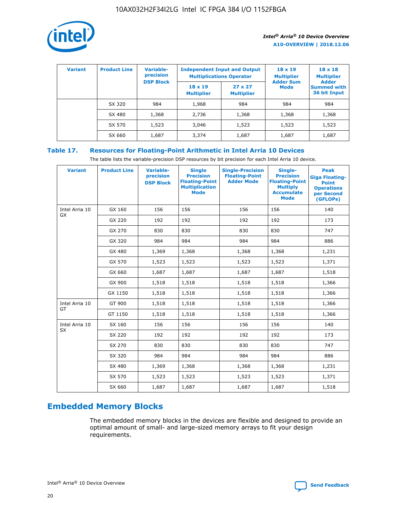

| <b>Variant</b> | <b>Product Line</b> | <b>Variable-</b><br>precision<br><b>DSP Block</b> | <b>Independent Input and Output</b><br><b>Multiplications Operator</b> |                                     | $18 \times 19$<br><b>Multiplier</b><br><b>Adder Sum</b> | $18 \times 18$<br><b>Multiplier</b><br><b>Adder</b> |  |
|----------------|---------------------|---------------------------------------------------|------------------------------------------------------------------------|-------------------------------------|---------------------------------------------------------|-----------------------------------------------------|--|
|                |                     |                                                   | $18 \times 19$<br><b>Multiplier</b>                                    | $27 \times 27$<br><b>Multiplier</b> | <b>Mode</b>                                             | <b>Summed with</b><br>36 bit Input                  |  |
|                | SX 320              | 984                                               | 1,968                                                                  | 984                                 | 984                                                     | 984                                                 |  |
|                | SX 480              | 1,368                                             | 2,736                                                                  | 1,368                               | 1,368                                                   | 1,368                                               |  |
|                | SX 570              | 1,523                                             | 3,046                                                                  | 1,523                               | 1,523                                                   | 1,523                                               |  |
|                | SX 660              | 1,687                                             | 3,374                                                                  | 1,687                               | 1,687                                                   | 1,687                                               |  |

# **Table 17. Resources for Floating-Point Arithmetic in Intel Arria 10 Devices**

The table lists the variable-precision DSP resources by bit precision for each Intel Arria 10 device.

| <b>Variant</b>              | <b>Product Line</b> | <b>Variable-</b><br>precision<br><b>DSP Block</b> | <b>Single</b><br><b>Precision</b><br><b>Floating-Point</b><br><b>Multiplication</b><br><b>Mode</b> | <b>Single-Precision</b><br><b>Floating-Point</b><br><b>Adder Mode</b> | Single-<br><b>Precision</b><br><b>Floating-Point</b><br><b>Multiply</b><br><b>Accumulate</b><br><b>Mode</b> | <b>Peak</b><br><b>Giga Floating-</b><br><b>Point</b><br><b>Operations</b><br>per Second<br>(GFLOPs) |
|-----------------------------|---------------------|---------------------------------------------------|----------------------------------------------------------------------------------------------------|-----------------------------------------------------------------------|-------------------------------------------------------------------------------------------------------------|-----------------------------------------------------------------------------------------------------|
| Intel Arria 10<br>GX        | GX 160              | 156                                               | 156                                                                                                | 156                                                                   | 156                                                                                                         | 140                                                                                                 |
|                             | GX 220              | 192                                               | 192                                                                                                | 192                                                                   | 192                                                                                                         | 173                                                                                                 |
|                             | GX 270              | 830                                               | 830                                                                                                | 830                                                                   | 830                                                                                                         | 747                                                                                                 |
|                             | GX 320              | 984                                               | 984                                                                                                | 984                                                                   | 984                                                                                                         | 886                                                                                                 |
|                             | GX 480              | 1,369                                             | 1,368                                                                                              | 1,368                                                                 | 1,368                                                                                                       | 1,231                                                                                               |
|                             | GX 570              | 1,523                                             | 1,523                                                                                              | 1,523                                                                 | 1,523                                                                                                       | 1,371                                                                                               |
|                             | GX 660              | 1,687                                             | 1,687                                                                                              | 1,687                                                                 | 1,687                                                                                                       | 1,518                                                                                               |
|                             | GX 900              | 1,518                                             | 1,518                                                                                              | 1,518                                                                 | 1,518                                                                                                       | 1,366                                                                                               |
|                             | GX 1150             | 1,518                                             | 1,518                                                                                              | 1,518                                                                 | 1,518                                                                                                       | 1,366                                                                                               |
| Intel Arria 10              | GT 900              | 1,518                                             | 1,518                                                                                              | 1,518                                                                 | 1,518                                                                                                       | 1,366                                                                                               |
| GT                          | GT 1150             | 1,518                                             | 1,518                                                                                              | 1,518                                                                 | 1,518                                                                                                       | 1,366                                                                                               |
| Intel Arria 10<br><b>SX</b> | SX 160              | 156                                               | 156                                                                                                | 156                                                                   | 156                                                                                                         | 140                                                                                                 |
|                             | SX 220              | 192                                               | 192                                                                                                | 192                                                                   | 192                                                                                                         | 173                                                                                                 |
|                             | SX 270              | 830                                               | 830                                                                                                | 830                                                                   | 830                                                                                                         | 747                                                                                                 |
|                             | SX 320              | 984                                               | 984                                                                                                | 984                                                                   | 984                                                                                                         | 886                                                                                                 |
|                             | SX 480              | 1,369                                             | 1,368                                                                                              | 1,368                                                                 | 1,368                                                                                                       | 1,231                                                                                               |
|                             | SX 570              | 1,523                                             | 1,523                                                                                              | 1,523                                                                 | 1,523                                                                                                       | 1,371                                                                                               |
|                             | SX 660              | 1,687                                             | 1,687                                                                                              | 1,687                                                                 | 1,687                                                                                                       | 1,518                                                                                               |

# **Embedded Memory Blocks**

The embedded memory blocks in the devices are flexible and designed to provide an optimal amount of small- and large-sized memory arrays to fit your design requirements.

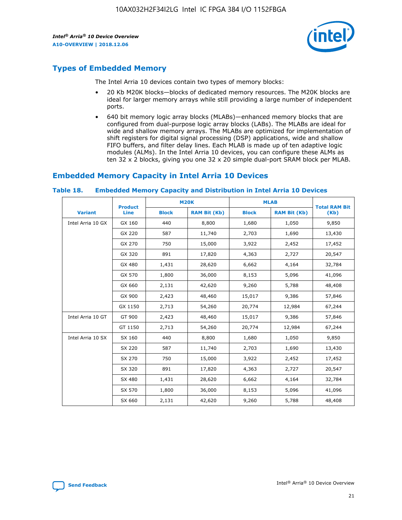

# **Types of Embedded Memory**

The Intel Arria 10 devices contain two types of memory blocks:

- 20 Kb M20K blocks—blocks of dedicated memory resources. The M20K blocks are ideal for larger memory arrays while still providing a large number of independent ports.
- 640 bit memory logic array blocks (MLABs)—enhanced memory blocks that are configured from dual-purpose logic array blocks (LABs). The MLABs are ideal for wide and shallow memory arrays. The MLABs are optimized for implementation of shift registers for digital signal processing (DSP) applications, wide and shallow FIFO buffers, and filter delay lines. Each MLAB is made up of ten adaptive logic modules (ALMs). In the Intel Arria 10 devices, you can configure these ALMs as ten 32 x 2 blocks, giving you one 32 x 20 simple dual-port SRAM block per MLAB.

# **Embedded Memory Capacity in Intel Arria 10 Devices**

|                   | <b>Product</b> |              | <b>M20K</b>         | <b>MLAB</b>  |                     | <b>Total RAM Bit</b> |
|-------------------|----------------|--------------|---------------------|--------------|---------------------|----------------------|
| <b>Variant</b>    | Line           | <b>Block</b> | <b>RAM Bit (Kb)</b> | <b>Block</b> | <b>RAM Bit (Kb)</b> | (Kb)                 |
| Intel Arria 10 GX | GX 160         | 440          | 8,800               | 1,680        | 1,050               | 9,850                |
|                   | GX 220         | 587          | 11,740              | 2,703        | 1,690               | 13,430               |
|                   | GX 270         | 750          | 15,000              | 3,922        | 2,452               | 17,452               |
|                   | GX 320         | 891          | 17,820              | 4,363        | 2,727               | 20,547               |
|                   | GX 480         | 1,431        | 28,620              | 6,662        | 4,164               | 32,784               |
|                   | GX 570         | 1,800        | 36,000              | 8,153        | 5,096               | 41,096               |
|                   | GX 660         | 2,131        | 42,620              | 9,260        | 5,788               | 48,408               |
|                   | GX 900         | 2,423        | 48,460              | 15,017       | 9,386               | 57,846               |
|                   | GX 1150        | 2,713        | 54,260              | 20,774       | 12,984              | 67,244               |
| Intel Arria 10 GT | GT 900         | 2,423        | 48,460              | 15,017       | 9,386               | 57,846               |
|                   | GT 1150        | 2,713        | 54,260              | 20,774       | 12,984              | 67,244               |
| Intel Arria 10 SX | SX 160         | 440          | 8,800               | 1,680        | 1,050               | 9,850                |
|                   | SX 220         | 587          | 11,740              | 2,703        | 1,690               | 13,430               |
|                   | SX 270         | 750          | 15,000              | 3,922        | 2,452               | 17,452               |
|                   | SX 320         | 891          | 17,820              | 4,363        | 2,727               | 20,547               |
|                   | SX 480         | 1,431        | 28,620              | 6,662        | 4,164               | 32,784               |
|                   | SX 570         | 1,800        | 36,000              | 8,153        | 5,096               | 41,096               |
|                   | SX 660         | 2,131        | 42,620              | 9,260        | 5,788               | 48,408               |

#### **Table 18. Embedded Memory Capacity and Distribution in Intel Arria 10 Devices**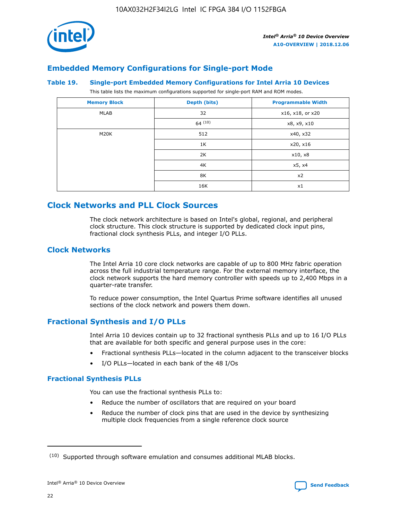

# **Embedded Memory Configurations for Single-port Mode**

#### **Table 19. Single-port Embedded Memory Configurations for Intel Arria 10 Devices**

This table lists the maximum configurations supported for single-port RAM and ROM modes.

| <b>Memory Block</b> | Depth (bits) | <b>Programmable Width</b> |
|---------------------|--------------|---------------------------|
| MLAB                | 32           | x16, x18, or x20          |
|                     | 64(10)       | x8, x9, x10               |
| M20K                | 512          | x40, x32                  |
|                     | 1K           | x20, x16                  |
|                     | 2K           | x10, x8                   |
|                     | 4K           | x5, x4                    |
|                     | 8K           | x2                        |
|                     | 16K          | x1                        |

# **Clock Networks and PLL Clock Sources**

The clock network architecture is based on Intel's global, regional, and peripheral clock structure. This clock structure is supported by dedicated clock input pins, fractional clock synthesis PLLs, and integer I/O PLLs.

# **Clock Networks**

The Intel Arria 10 core clock networks are capable of up to 800 MHz fabric operation across the full industrial temperature range. For the external memory interface, the clock network supports the hard memory controller with speeds up to 2,400 Mbps in a quarter-rate transfer.

To reduce power consumption, the Intel Quartus Prime software identifies all unused sections of the clock network and powers them down.

# **Fractional Synthesis and I/O PLLs**

Intel Arria 10 devices contain up to 32 fractional synthesis PLLs and up to 16 I/O PLLs that are available for both specific and general purpose uses in the core:

- Fractional synthesis PLLs—located in the column adjacent to the transceiver blocks
- I/O PLLs—located in each bank of the 48 I/Os

## **Fractional Synthesis PLLs**

You can use the fractional synthesis PLLs to:

- Reduce the number of oscillators that are required on your board
- Reduce the number of clock pins that are used in the device by synthesizing multiple clock frequencies from a single reference clock source

<sup>(10)</sup> Supported through software emulation and consumes additional MLAB blocks.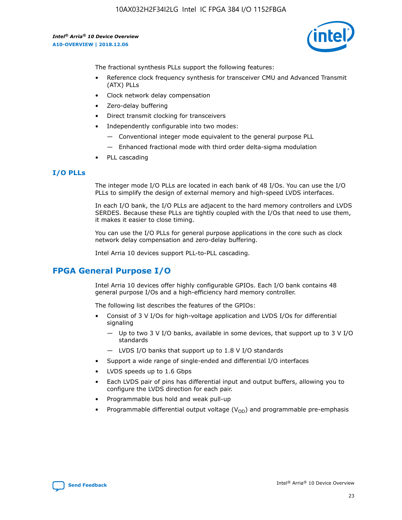

The fractional synthesis PLLs support the following features:

- Reference clock frequency synthesis for transceiver CMU and Advanced Transmit (ATX) PLLs
- Clock network delay compensation
- Zero-delay buffering
- Direct transmit clocking for transceivers
- Independently configurable into two modes:
	- Conventional integer mode equivalent to the general purpose PLL
	- Enhanced fractional mode with third order delta-sigma modulation
- PLL cascading

# **I/O PLLs**

The integer mode I/O PLLs are located in each bank of 48 I/Os. You can use the I/O PLLs to simplify the design of external memory and high-speed LVDS interfaces.

In each I/O bank, the I/O PLLs are adjacent to the hard memory controllers and LVDS SERDES. Because these PLLs are tightly coupled with the I/Os that need to use them, it makes it easier to close timing.

You can use the I/O PLLs for general purpose applications in the core such as clock network delay compensation and zero-delay buffering.

Intel Arria 10 devices support PLL-to-PLL cascading.

# **FPGA General Purpose I/O**

Intel Arria 10 devices offer highly configurable GPIOs. Each I/O bank contains 48 general purpose I/Os and a high-efficiency hard memory controller.

The following list describes the features of the GPIOs:

- Consist of 3 V I/Os for high-voltage application and LVDS I/Os for differential signaling
	- Up to two 3 V I/O banks, available in some devices, that support up to 3 V I/O standards
	- LVDS I/O banks that support up to 1.8 V I/O standards
- Support a wide range of single-ended and differential I/O interfaces
- LVDS speeds up to 1.6 Gbps
- Each LVDS pair of pins has differential input and output buffers, allowing you to configure the LVDS direction for each pair.
- Programmable bus hold and weak pull-up
- Programmable differential output voltage  $(V_{OD})$  and programmable pre-emphasis

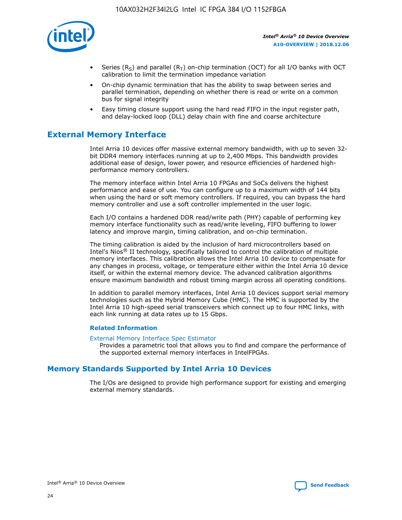

- Series (R<sub>S</sub>) and parallel (R<sub>T</sub>) on-chip termination (OCT) for all I/O banks with OCT calibration to limit the termination impedance variation
- On-chip dynamic termination that has the ability to swap between series and parallel termination, depending on whether there is read or write on a common bus for signal integrity
- Easy timing closure support using the hard read FIFO in the input register path, and delay-locked loop (DLL) delay chain with fine and coarse architecture

# **External Memory Interface**

Intel Arria 10 devices offer massive external memory bandwidth, with up to seven 32 bit DDR4 memory interfaces running at up to 2,400 Mbps. This bandwidth provides additional ease of design, lower power, and resource efficiencies of hardened highperformance memory controllers.

The memory interface within Intel Arria 10 FPGAs and SoCs delivers the highest performance and ease of use. You can configure up to a maximum width of 144 bits when using the hard or soft memory controllers. If required, you can bypass the hard memory controller and use a soft controller implemented in the user logic.

Each I/O contains a hardened DDR read/write path (PHY) capable of performing key memory interface functionality such as read/write leveling, FIFO buffering to lower latency and improve margin, timing calibration, and on-chip termination.

The timing calibration is aided by the inclusion of hard microcontrollers based on Intel's Nios® II technology, specifically tailored to control the calibration of multiple memory interfaces. This calibration allows the Intel Arria 10 device to compensate for any changes in process, voltage, or temperature either within the Intel Arria 10 device itself, or within the external memory device. The advanced calibration algorithms ensure maximum bandwidth and robust timing margin across all operating conditions.

In addition to parallel memory interfaces, Intel Arria 10 devices support serial memory technologies such as the Hybrid Memory Cube (HMC). The HMC is supported by the Intel Arria 10 high-speed serial transceivers which connect up to four HMC links, with each link running at data rates up to 15 Gbps.

## **Related Information**

#### [External Memory Interface Spec Estimator](http://www.altera.com/technology/memory/estimator/mem-emif-index.html)

Provides a parametric tool that allows you to find and compare the performance of the supported external memory interfaces in IntelFPGAs.

# **Memory Standards Supported by Intel Arria 10 Devices**

The I/Os are designed to provide high performance support for existing and emerging external memory standards.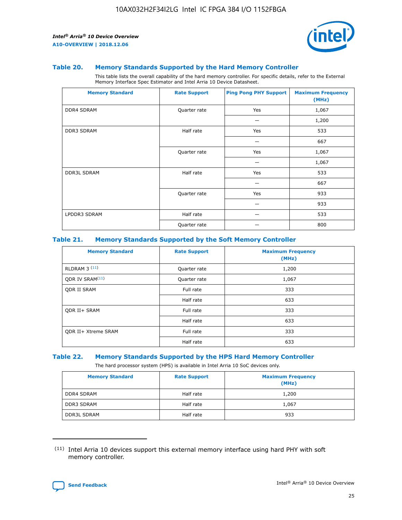

#### **Table 20. Memory Standards Supported by the Hard Memory Controller**

This table lists the overall capability of the hard memory controller. For specific details, refer to the External Memory Interface Spec Estimator and Intel Arria 10 Device Datasheet.

| <b>Memory Standard</b> | <b>Rate Support</b> | <b>Ping Pong PHY Support</b> | <b>Maximum Frequency</b><br>(MHz) |
|------------------------|---------------------|------------------------------|-----------------------------------|
| <b>DDR4 SDRAM</b>      | Quarter rate        | Yes                          | 1,067                             |
|                        |                     |                              | 1,200                             |
| DDR3 SDRAM             | Half rate           | Yes                          | 533                               |
|                        |                     |                              | 667                               |
|                        | Quarter rate        | Yes                          | 1,067                             |
|                        |                     |                              | 1,067                             |
| <b>DDR3L SDRAM</b>     | Half rate           | Yes                          | 533                               |
|                        |                     |                              | 667                               |
|                        | Quarter rate        | Yes                          | 933                               |
|                        |                     |                              | 933                               |
| LPDDR3 SDRAM           | Half rate           |                              | 533                               |
|                        | Quarter rate        |                              | 800                               |

### **Table 21. Memory Standards Supported by the Soft Memory Controller**

| <b>Memory Standard</b>      | <b>Rate Support</b> | <b>Maximum Frequency</b><br>(MHz) |
|-----------------------------|---------------------|-----------------------------------|
| <b>RLDRAM 3 (11)</b>        | Quarter rate        | 1,200                             |
| ODR IV SRAM <sup>(11)</sup> | Quarter rate        | 1,067                             |
| <b>ODR II SRAM</b>          | Full rate           | 333                               |
|                             | Half rate           | 633                               |
| <b>ODR II+ SRAM</b>         | Full rate           | 333                               |
|                             | Half rate           | 633                               |
| <b>ODR II+ Xtreme SRAM</b>  | Full rate           | 333                               |
|                             | Half rate           | 633                               |

#### **Table 22. Memory Standards Supported by the HPS Hard Memory Controller**

The hard processor system (HPS) is available in Intel Arria 10 SoC devices only.

| <b>Memory Standard</b> | <b>Rate Support</b> | <b>Maximum Frequency</b><br>(MHz) |
|------------------------|---------------------|-----------------------------------|
| <b>DDR4 SDRAM</b>      | Half rate           | 1,200                             |
| <b>DDR3 SDRAM</b>      | Half rate           | 1,067                             |
| <b>DDR3L SDRAM</b>     | Half rate           | 933                               |

<sup>(11)</sup> Intel Arria 10 devices support this external memory interface using hard PHY with soft memory controller.

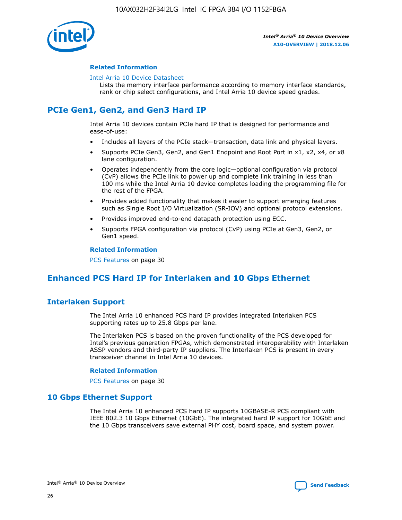

## **Related Information**

#### [Intel Arria 10 Device Datasheet](https://www.intel.com/content/www/us/en/programmable/documentation/mcn1413182292568.html#mcn1413182153340)

Lists the memory interface performance according to memory interface standards, rank or chip select configurations, and Intel Arria 10 device speed grades.

# **PCIe Gen1, Gen2, and Gen3 Hard IP**

Intel Arria 10 devices contain PCIe hard IP that is designed for performance and ease-of-use:

- Includes all layers of the PCIe stack—transaction, data link and physical layers.
- Supports PCIe Gen3, Gen2, and Gen1 Endpoint and Root Port in x1, x2, x4, or x8 lane configuration.
- Operates independently from the core logic—optional configuration via protocol (CvP) allows the PCIe link to power up and complete link training in less than 100 ms while the Intel Arria 10 device completes loading the programming file for the rest of the FPGA.
- Provides added functionality that makes it easier to support emerging features such as Single Root I/O Virtualization (SR-IOV) and optional protocol extensions.
- Provides improved end-to-end datapath protection using ECC.
- Supports FPGA configuration via protocol (CvP) using PCIe at Gen3, Gen2, or Gen1 speed.

#### **Related Information**

PCS Features on page 30

# **Enhanced PCS Hard IP for Interlaken and 10 Gbps Ethernet**

# **Interlaken Support**

The Intel Arria 10 enhanced PCS hard IP provides integrated Interlaken PCS supporting rates up to 25.8 Gbps per lane.

The Interlaken PCS is based on the proven functionality of the PCS developed for Intel's previous generation FPGAs, which demonstrated interoperability with Interlaken ASSP vendors and third-party IP suppliers. The Interlaken PCS is present in every transceiver channel in Intel Arria 10 devices.

## **Related Information**

PCS Features on page 30

# **10 Gbps Ethernet Support**

The Intel Arria 10 enhanced PCS hard IP supports 10GBASE-R PCS compliant with IEEE 802.3 10 Gbps Ethernet (10GbE). The integrated hard IP support for 10GbE and the 10 Gbps transceivers save external PHY cost, board space, and system power.

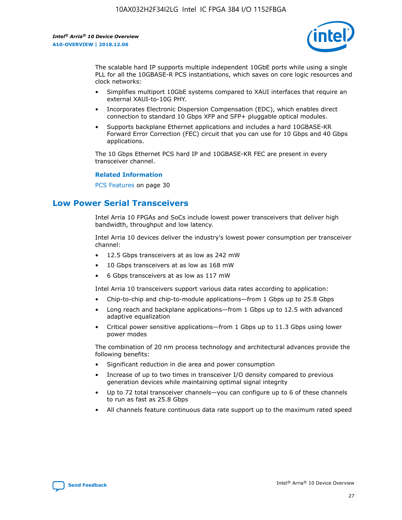

The scalable hard IP supports multiple independent 10GbE ports while using a single PLL for all the 10GBASE-R PCS instantiations, which saves on core logic resources and clock networks:

- Simplifies multiport 10GbE systems compared to XAUI interfaces that require an external XAUI-to-10G PHY.
- Incorporates Electronic Dispersion Compensation (EDC), which enables direct connection to standard 10 Gbps XFP and SFP+ pluggable optical modules.
- Supports backplane Ethernet applications and includes a hard 10GBASE-KR Forward Error Correction (FEC) circuit that you can use for 10 Gbps and 40 Gbps applications.

The 10 Gbps Ethernet PCS hard IP and 10GBASE-KR FEC are present in every transceiver channel.

#### **Related Information**

PCS Features on page 30

# **Low Power Serial Transceivers**

Intel Arria 10 FPGAs and SoCs include lowest power transceivers that deliver high bandwidth, throughput and low latency.

Intel Arria 10 devices deliver the industry's lowest power consumption per transceiver channel:

- 12.5 Gbps transceivers at as low as 242 mW
- 10 Gbps transceivers at as low as 168 mW
- 6 Gbps transceivers at as low as 117 mW

Intel Arria 10 transceivers support various data rates according to application:

- Chip-to-chip and chip-to-module applications—from 1 Gbps up to 25.8 Gbps
- Long reach and backplane applications—from 1 Gbps up to 12.5 with advanced adaptive equalization
- Critical power sensitive applications—from 1 Gbps up to 11.3 Gbps using lower power modes

The combination of 20 nm process technology and architectural advances provide the following benefits:

- Significant reduction in die area and power consumption
- Increase of up to two times in transceiver I/O density compared to previous generation devices while maintaining optimal signal integrity
- Up to 72 total transceiver channels—you can configure up to 6 of these channels to run as fast as 25.8 Gbps
- All channels feature continuous data rate support up to the maximum rated speed

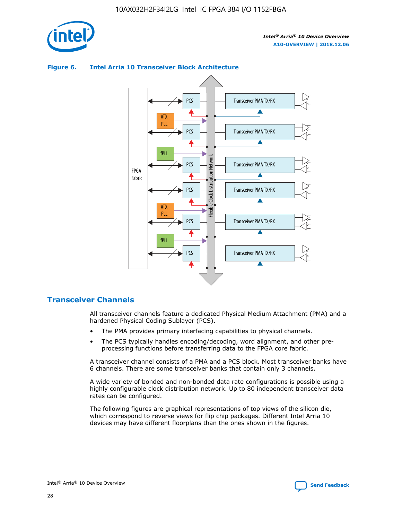

#### Transceiver PMA TX/RX PCS ATX PLL Transceiver PMA TX/RX PCS fPLL Network Flexible Clock Distribution Network PCS Transceiver PMA TX/RX FPGA **Clock Distribution** Fabric PCS Transceiver PMA TX/RX ATX Flexible PLL PCS Transceiver PMA TX/RX ▲ fPLL Transceiver PMA TX/RX PCS

## **Figure 6. Intel Arria 10 Transceiver Block Architecture**

# **Transceiver Channels**

All transceiver channels feature a dedicated Physical Medium Attachment (PMA) and a hardened Physical Coding Sublayer (PCS).

4

- The PMA provides primary interfacing capabilities to physical channels.
- The PCS typically handles encoding/decoding, word alignment, and other preprocessing functions before transferring data to the FPGA core fabric.

A transceiver channel consists of a PMA and a PCS block. Most transceiver banks have 6 channels. There are some transceiver banks that contain only 3 channels.

A wide variety of bonded and non-bonded data rate configurations is possible using a highly configurable clock distribution network. Up to 80 independent transceiver data rates can be configured.

The following figures are graphical representations of top views of the silicon die, which correspond to reverse views for flip chip packages. Different Intel Arria 10 devices may have different floorplans than the ones shown in the figures.

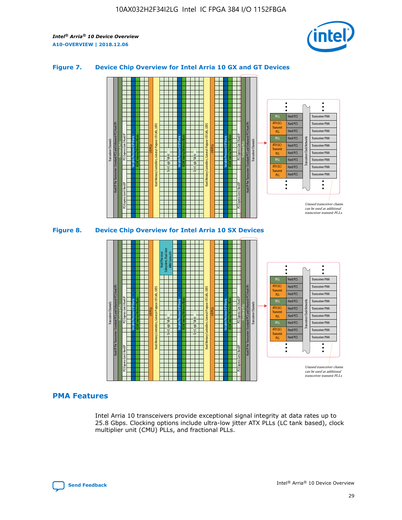

## **Figure 7. Device Chip Overview for Intel Arria 10 GX and GT Devices**



## **PMA Features**

Intel Arria 10 transceivers provide exceptional signal integrity at data rates up to 25.8 Gbps. Clocking options include ultra-low jitter ATX PLLs (LC tank based), clock multiplier unit (CMU) PLLs, and fractional PLLs.



Hard PCS Hard PCS Hard PCS Hard PCS

Transmi PLL fPLL ATX (LC) **Transmit** PLL

Transceiver PMA Transceiver PMA

Transceiver PMA Transceiver PMA

Unused transceiver chann can be used as additional transceiver transmit PLLs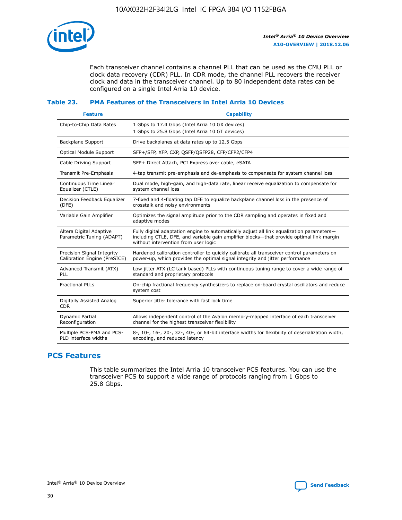

Each transceiver channel contains a channel PLL that can be used as the CMU PLL or clock data recovery (CDR) PLL. In CDR mode, the channel PLL recovers the receiver clock and data in the transceiver channel. Up to 80 independent data rates can be configured on a single Intel Arria 10 device.

## **Table 23. PMA Features of the Transceivers in Intel Arria 10 Devices**

| <b>Feature</b>                                             | <b>Capability</b>                                                                                                                                                                                                             |
|------------------------------------------------------------|-------------------------------------------------------------------------------------------------------------------------------------------------------------------------------------------------------------------------------|
| Chip-to-Chip Data Rates                                    | 1 Gbps to 17.4 Gbps (Intel Arria 10 GX devices)<br>1 Gbps to 25.8 Gbps (Intel Arria 10 GT devices)                                                                                                                            |
| Backplane Support                                          | Drive backplanes at data rates up to 12.5 Gbps                                                                                                                                                                                |
| <b>Optical Module Support</b>                              | SFP+/SFP, XFP, CXP, QSFP/QSFP28, CFP/CFP2/CFP4                                                                                                                                                                                |
| Cable Driving Support                                      | SFP+ Direct Attach, PCI Express over cable, eSATA                                                                                                                                                                             |
| Transmit Pre-Emphasis                                      | 4-tap transmit pre-emphasis and de-emphasis to compensate for system channel loss                                                                                                                                             |
| Continuous Time Linear<br>Equalizer (CTLE)                 | Dual mode, high-gain, and high-data rate, linear receive equalization to compensate for<br>system channel loss                                                                                                                |
| Decision Feedback Equalizer<br>(DFE)                       | 7-fixed and 4-floating tap DFE to equalize backplane channel loss in the presence of<br>crosstalk and noisy environments                                                                                                      |
| Variable Gain Amplifier                                    | Optimizes the signal amplitude prior to the CDR sampling and operates in fixed and<br>adaptive modes                                                                                                                          |
| Altera Digital Adaptive<br>Parametric Tuning (ADAPT)       | Fully digital adaptation engine to automatically adjust all link equalization parameters-<br>including CTLE, DFE, and variable gain amplifier blocks—that provide optimal link margin<br>without intervention from user logic |
| Precision Signal Integrity<br>Calibration Engine (PreSICE) | Hardened calibration controller to quickly calibrate all transceiver control parameters on<br>power-up, which provides the optimal signal integrity and jitter performance                                                    |
| Advanced Transmit (ATX)<br>PLL                             | Low jitter ATX (LC tank based) PLLs with continuous tuning range to cover a wide range of<br>standard and proprietary protocols                                                                                               |
| <b>Fractional PLLs</b>                                     | On-chip fractional frequency synthesizers to replace on-board crystal oscillators and reduce<br>system cost                                                                                                                   |
| Digitally Assisted Analog<br><b>CDR</b>                    | Superior jitter tolerance with fast lock time                                                                                                                                                                                 |
| <b>Dynamic Partial</b><br>Reconfiguration                  | Allows independent control of the Avalon memory-mapped interface of each transceiver<br>channel for the highest transceiver flexibility                                                                                       |
| Multiple PCS-PMA and PCS-<br>PLD interface widths          | 8-, 10-, 16-, 20-, 32-, 40-, or 64-bit interface widths for flexibility of deserialization width,<br>encoding, and reduced latency                                                                                            |

# **PCS Features**

This table summarizes the Intel Arria 10 transceiver PCS features. You can use the transceiver PCS to support a wide range of protocols ranging from 1 Gbps to 25.8 Gbps.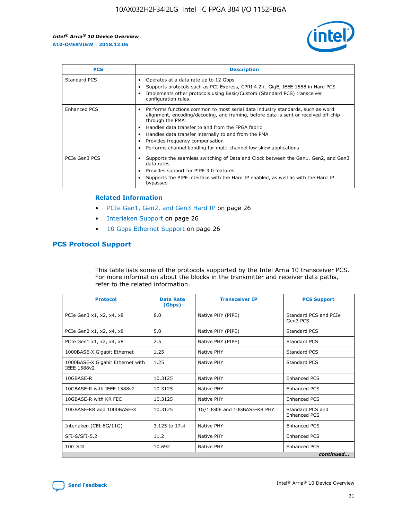

| <b>PCS</b>          | <b>Description</b>                                                                                                                                                                                                                                                                                                                                                                                             |
|---------------------|----------------------------------------------------------------------------------------------------------------------------------------------------------------------------------------------------------------------------------------------------------------------------------------------------------------------------------------------------------------------------------------------------------------|
| Standard PCS        | Operates at a data rate up to 12 Gbps<br>Supports protocols such as PCI-Express, CPRI 4.2+, GigE, IEEE 1588 in Hard PCS<br>Implements other protocols using Basic/Custom (Standard PCS) transceiver<br>configuration rules.                                                                                                                                                                                    |
| <b>Enhanced PCS</b> | Performs functions common to most serial data industry standards, such as word<br>alignment, encoding/decoding, and framing, before data is sent or received off-chip<br>through the PMA<br>• Handles data transfer to and from the FPGA fabric<br>Handles data transfer internally to and from the PMA<br>Provides frequency compensation<br>Performs channel bonding for multi-channel low skew applications |
| PCIe Gen3 PCS       | Supports the seamless switching of Data and Clock between the Gen1, Gen2, and Gen3<br>data rates<br>Provides support for PIPE 3.0 features<br>Supports the PIPE interface with the Hard IP enabled, as well as with the Hard IP<br>bypassed                                                                                                                                                                    |

#### **Related Information**

- PCIe Gen1, Gen2, and Gen3 Hard IP on page 26
- Interlaken Support on page 26
- 10 Gbps Ethernet Support on page 26

# **PCS Protocol Support**

This table lists some of the protocols supported by the Intel Arria 10 transceiver PCS. For more information about the blocks in the transmitter and receiver data paths, refer to the related information.

| <b>Protocol</b>                                 | <b>Data Rate</b><br>(Gbps) | <b>Transceiver IP</b>       | <b>PCS Support</b>                      |
|-------------------------------------------------|----------------------------|-----------------------------|-----------------------------------------|
| PCIe Gen3 x1, x2, x4, x8                        | 8.0                        | Native PHY (PIPE)           | Standard PCS and PCIe<br>Gen3 PCS       |
| PCIe Gen2 x1, x2, x4, x8                        | 5.0                        | Native PHY (PIPE)           | <b>Standard PCS</b>                     |
| PCIe Gen1 x1, x2, x4, x8                        | 2.5                        | Native PHY (PIPE)           | Standard PCS                            |
| 1000BASE-X Gigabit Ethernet                     | 1.25                       | Native PHY                  | <b>Standard PCS</b>                     |
| 1000BASE-X Gigabit Ethernet with<br>IEEE 1588v2 | 1.25                       | Native PHY                  | Standard PCS                            |
| 10GBASE-R                                       | 10.3125                    | Native PHY                  | <b>Enhanced PCS</b>                     |
| 10GBASE-R with IEEE 1588v2                      | 10.3125                    | Native PHY                  | <b>Enhanced PCS</b>                     |
| 10GBASE-R with KR FEC                           | 10.3125                    | Native PHY                  | <b>Enhanced PCS</b>                     |
| 10GBASE-KR and 1000BASE-X                       | 10.3125                    | 1G/10GbE and 10GBASE-KR PHY | Standard PCS and<br><b>Enhanced PCS</b> |
| Interlaken (CEI-6G/11G)                         | 3.125 to 17.4              | Native PHY                  | <b>Enhanced PCS</b>                     |
| SFI-S/SFI-5.2                                   | 11.2                       | Native PHY                  | <b>Enhanced PCS</b>                     |
| $10G$ SDI                                       | 10.692                     | Native PHY                  | <b>Enhanced PCS</b>                     |
|                                                 |                            |                             | continued                               |

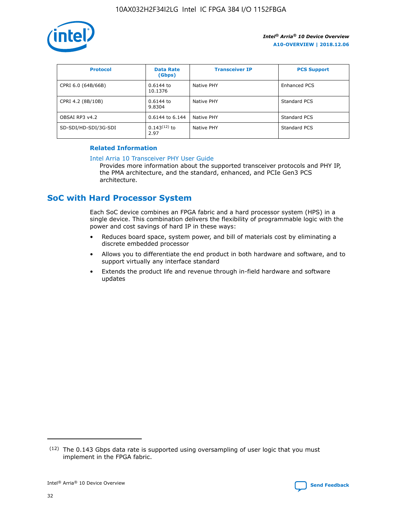

| <b>Protocol</b>      | <b>Data Rate</b><br>(Gbps) | <b>Transceiver IP</b> | <b>PCS Support</b> |
|----------------------|----------------------------|-----------------------|--------------------|
| CPRI 6.0 (64B/66B)   | 0.6144 to<br>10.1376       | Native PHY            | Enhanced PCS       |
| CPRI 4.2 (8B/10B)    | 0.6144 to<br>9.8304        | Native PHY            | Standard PCS       |
| OBSAI RP3 v4.2       | 0.6144 to 6.144            | Native PHY            | Standard PCS       |
| SD-SDI/HD-SDI/3G-SDI | $0.143(12)$ to<br>2.97     | Native PHY            | Standard PCS       |

# **Related Information**

## [Intel Arria 10 Transceiver PHY User Guide](https://www.intel.com/content/www/us/en/programmable/documentation/nik1398707230472.html#nik1398707091164)

Provides more information about the supported transceiver protocols and PHY IP, the PMA architecture, and the standard, enhanced, and PCIe Gen3 PCS architecture.

# **SoC with Hard Processor System**

Each SoC device combines an FPGA fabric and a hard processor system (HPS) in a single device. This combination delivers the flexibility of programmable logic with the power and cost savings of hard IP in these ways:

- Reduces board space, system power, and bill of materials cost by eliminating a discrete embedded processor
- Allows you to differentiate the end product in both hardware and software, and to support virtually any interface standard
- Extends the product life and revenue through in-field hardware and software updates

 $(12)$  The 0.143 Gbps data rate is supported using oversampling of user logic that you must implement in the FPGA fabric.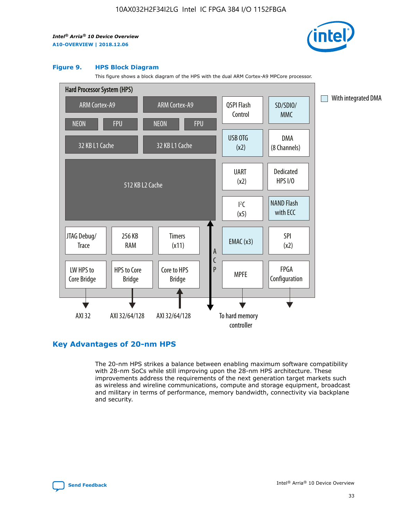

#### **Figure 9. HPS Block Diagram**

This figure shows a block diagram of the HPS with the dual ARM Cortex-A9 MPCore processor.



# **Key Advantages of 20-nm HPS**

The 20-nm HPS strikes a balance between enabling maximum software compatibility with 28-nm SoCs while still improving upon the 28-nm HPS architecture. These improvements address the requirements of the next generation target markets such as wireless and wireline communications, compute and storage equipment, broadcast and military in terms of performance, memory bandwidth, connectivity via backplane and security.

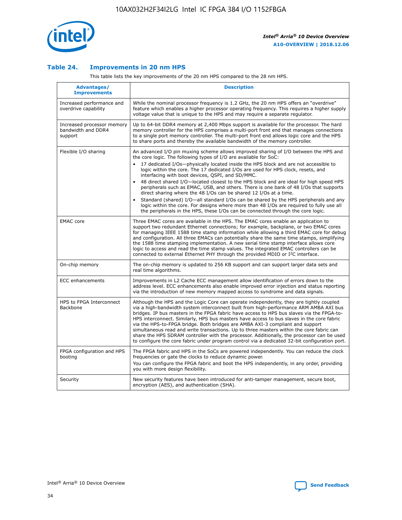

## **Table 24. Improvements in 20 nm HPS**

This table lists the key improvements of the 20 nm HPS compared to the 28 nm HPS.

| Advantages/<br><b>Improvements</b>                          | <b>Description</b>                                                                                                                                                                                                                                                                                                                                                                                                                                                                                                                                                                                                                                                                                                                                                                                                                                                                                                      |
|-------------------------------------------------------------|-------------------------------------------------------------------------------------------------------------------------------------------------------------------------------------------------------------------------------------------------------------------------------------------------------------------------------------------------------------------------------------------------------------------------------------------------------------------------------------------------------------------------------------------------------------------------------------------------------------------------------------------------------------------------------------------------------------------------------------------------------------------------------------------------------------------------------------------------------------------------------------------------------------------------|
| Increased performance and<br>overdrive capability           | While the nominal processor frequency is 1.2 GHz, the 20 nm HPS offers an "overdrive"<br>feature which enables a higher processor operating frequency. This requires a higher supply<br>voltage value that is unique to the HPS and may require a separate regulator.                                                                                                                                                                                                                                                                                                                                                                                                                                                                                                                                                                                                                                                   |
| Increased processor memory<br>bandwidth and DDR4<br>support | Up to 64-bit DDR4 memory at 2,400 Mbps support is available for the processor. The hard<br>memory controller for the HPS comprises a multi-port front end that manages connections<br>to a single port memory controller. The multi-port front end allows logic core and the HPS<br>to share ports and thereby the available bandwidth of the memory controller.                                                                                                                                                                                                                                                                                                                                                                                                                                                                                                                                                        |
| Flexible I/O sharing                                        | An advanced I/O pin muxing scheme allows improved sharing of I/O between the HPS and<br>the core logic. The following types of I/O are available for SoC:<br>17 dedicated I/Os-physically located inside the HPS block and are not accessible to<br>logic within the core. The 17 dedicated I/Os are used for HPS clock, resets, and<br>interfacing with boot devices, QSPI, and SD/MMC.<br>48 direct shared I/O-located closest to the HPS block and are ideal for high speed HPS<br>peripherals such as EMAC, USB, and others. There is one bank of 48 I/Os that supports<br>direct sharing where the 48 I/Os can be shared 12 I/Os at a time.<br>Standard (shared) I/O-all standard I/Os can be shared by the HPS peripherals and any<br>logic within the core. For designs where more than 48 I/Os are required to fully use all<br>the peripherals in the HPS, these I/Os can be connected through the core logic. |
| <b>EMAC</b> core                                            | Three EMAC cores are available in the HPS. The EMAC cores enable an application to<br>support two redundant Ethernet connections; for example, backplane, or two EMAC cores<br>for managing IEEE 1588 time stamp information while allowing a third EMAC core for debug<br>and configuration. All three EMACs can potentially share the same time stamps, simplifying<br>the 1588 time stamping implementation. A new serial time stamp interface allows core<br>logic to access and read the time stamp values. The integrated EMAC controllers can be<br>connected to external Ethernet PHY through the provided MDIO or I <sup>2</sup> C interface.                                                                                                                                                                                                                                                                  |
| On-chip memory                                              | The on-chip memory is updated to 256 KB support and can support larger data sets and<br>real time algorithms.                                                                                                                                                                                                                                                                                                                                                                                                                                                                                                                                                                                                                                                                                                                                                                                                           |
| <b>ECC</b> enhancements                                     | Improvements in L2 Cache ECC management allow identification of errors down to the<br>address level. ECC enhancements also enable improved error injection and status reporting<br>via the introduction of new memory mapped access to syndrome and data signals.                                                                                                                                                                                                                                                                                                                                                                                                                                                                                                                                                                                                                                                       |
| HPS to FPGA Interconnect<br>Backbone                        | Although the HPS and the Logic Core can operate independently, they are tightly coupled<br>via a high-bandwidth system interconnect built from high-performance ARM AMBA AXI bus<br>bridges. IP bus masters in the FPGA fabric have access to HPS bus slaves via the FPGA-to-<br>HPS interconnect. Similarly, HPS bus masters have access to bus slaves in the core fabric<br>via the HPS-to-FPGA bridge. Both bridges are AMBA AXI-3 compliant and support<br>simultaneous read and write transactions. Up to three masters within the core fabric can<br>share the HPS SDRAM controller with the processor. Additionally, the processor can be used<br>to configure the core fabric under program control via a dedicated 32-bit configuration port.                                                                                                                                                                  |
| FPGA configuration and HPS<br>booting                       | The FPGA fabric and HPS in the SoCs are powered independently. You can reduce the clock<br>frequencies or gate the clocks to reduce dynamic power.<br>You can configure the FPGA fabric and boot the HPS independently, in any order, providing<br>you with more design flexibility.                                                                                                                                                                                                                                                                                                                                                                                                                                                                                                                                                                                                                                    |
| Security                                                    | New security features have been introduced for anti-tamper management, secure boot,<br>encryption (AES), and authentication (SHA).                                                                                                                                                                                                                                                                                                                                                                                                                                                                                                                                                                                                                                                                                                                                                                                      |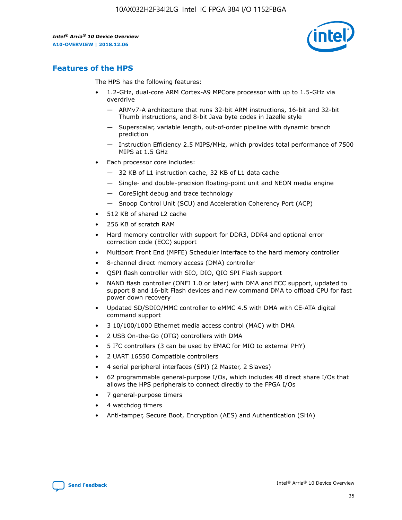

# **Features of the HPS**

The HPS has the following features:

- 1.2-GHz, dual-core ARM Cortex-A9 MPCore processor with up to 1.5-GHz via overdrive
	- ARMv7-A architecture that runs 32-bit ARM instructions, 16-bit and 32-bit Thumb instructions, and 8-bit Java byte codes in Jazelle style
	- Superscalar, variable length, out-of-order pipeline with dynamic branch prediction
	- Instruction Efficiency 2.5 MIPS/MHz, which provides total performance of 7500 MIPS at 1.5 GHz
- Each processor core includes:
	- 32 KB of L1 instruction cache, 32 KB of L1 data cache
	- Single- and double-precision floating-point unit and NEON media engine
	- CoreSight debug and trace technology
	- Snoop Control Unit (SCU) and Acceleration Coherency Port (ACP)
- 512 KB of shared L2 cache
- 256 KB of scratch RAM
- Hard memory controller with support for DDR3, DDR4 and optional error correction code (ECC) support
- Multiport Front End (MPFE) Scheduler interface to the hard memory controller
- 8-channel direct memory access (DMA) controller
- QSPI flash controller with SIO, DIO, QIO SPI Flash support
- NAND flash controller (ONFI 1.0 or later) with DMA and ECC support, updated to support 8 and 16-bit Flash devices and new command DMA to offload CPU for fast power down recovery
- Updated SD/SDIO/MMC controller to eMMC 4.5 with DMA with CE-ATA digital command support
- 3 10/100/1000 Ethernet media access control (MAC) with DMA
- 2 USB On-the-Go (OTG) controllers with DMA
- $\bullet$  5 I<sup>2</sup>C controllers (3 can be used by EMAC for MIO to external PHY)
- 2 UART 16550 Compatible controllers
- 4 serial peripheral interfaces (SPI) (2 Master, 2 Slaves)
- 62 programmable general-purpose I/Os, which includes 48 direct share I/Os that allows the HPS peripherals to connect directly to the FPGA I/Os
- 7 general-purpose timers
- 4 watchdog timers
- Anti-tamper, Secure Boot, Encryption (AES) and Authentication (SHA)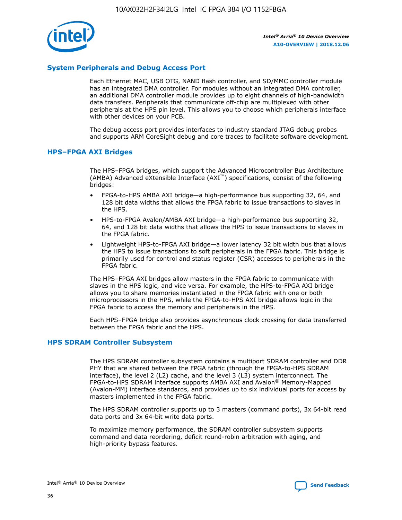

# **System Peripherals and Debug Access Port**

Each Ethernet MAC, USB OTG, NAND flash controller, and SD/MMC controller module has an integrated DMA controller. For modules without an integrated DMA controller, an additional DMA controller module provides up to eight channels of high-bandwidth data transfers. Peripherals that communicate off-chip are multiplexed with other peripherals at the HPS pin level. This allows you to choose which peripherals interface with other devices on your PCB.

The debug access port provides interfaces to industry standard JTAG debug probes and supports ARM CoreSight debug and core traces to facilitate software development.

## **HPS–FPGA AXI Bridges**

The HPS–FPGA bridges, which support the Advanced Microcontroller Bus Architecture (AMBA) Advanced eXtensible Interface (AXI™) specifications, consist of the following bridges:

- FPGA-to-HPS AMBA AXI bridge—a high-performance bus supporting 32, 64, and 128 bit data widths that allows the FPGA fabric to issue transactions to slaves in the HPS.
- HPS-to-FPGA Avalon/AMBA AXI bridge—a high-performance bus supporting 32, 64, and 128 bit data widths that allows the HPS to issue transactions to slaves in the FPGA fabric.
- Lightweight HPS-to-FPGA AXI bridge—a lower latency 32 bit width bus that allows the HPS to issue transactions to soft peripherals in the FPGA fabric. This bridge is primarily used for control and status register (CSR) accesses to peripherals in the FPGA fabric.

The HPS–FPGA AXI bridges allow masters in the FPGA fabric to communicate with slaves in the HPS logic, and vice versa. For example, the HPS-to-FPGA AXI bridge allows you to share memories instantiated in the FPGA fabric with one or both microprocessors in the HPS, while the FPGA-to-HPS AXI bridge allows logic in the FPGA fabric to access the memory and peripherals in the HPS.

Each HPS–FPGA bridge also provides asynchronous clock crossing for data transferred between the FPGA fabric and the HPS.

## **HPS SDRAM Controller Subsystem**

The HPS SDRAM controller subsystem contains a multiport SDRAM controller and DDR PHY that are shared between the FPGA fabric (through the FPGA-to-HPS SDRAM interface), the level 2 (L2) cache, and the level 3 (L3) system interconnect. The FPGA-to-HPS SDRAM interface supports AMBA AXI and Avalon® Memory-Mapped (Avalon-MM) interface standards, and provides up to six individual ports for access by masters implemented in the FPGA fabric.

The HPS SDRAM controller supports up to 3 masters (command ports), 3x 64-bit read data ports and 3x 64-bit write data ports.

To maximize memory performance, the SDRAM controller subsystem supports command and data reordering, deficit round-robin arbitration with aging, and high-priority bypass features.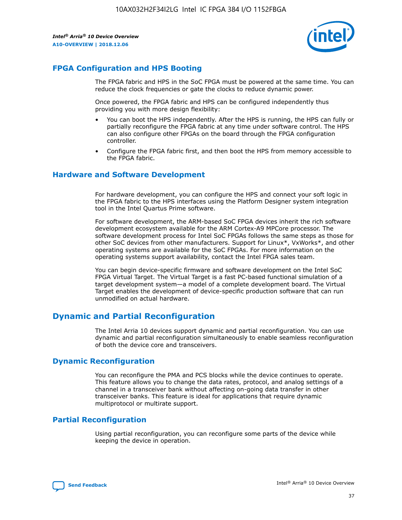

# **FPGA Configuration and HPS Booting**

The FPGA fabric and HPS in the SoC FPGA must be powered at the same time. You can reduce the clock frequencies or gate the clocks to reduce dynamic power.

Once powered, the FPGA fabric and HPS can be configured independently thus providing you with more design flexibility:

- You can boot the HPS independently. After the HPS is running, the HPS can fully or partially reconfigure the FPGA fabric at any time under software control. The HPS can also configure other FPGAs on the board through the FPGA configuration controller.
- Configure the FPGA fabric first, and then boot the HPS from memory accessible to the FPGA fabric.

## **Hardware and Software Development**

For hardware development, you can configure the HPS and connect your soft logic in the FPGA fabric to the HPS interfaces using the Platform Designer system integration tool in the Intel Quartus Prime software.

For software development, the ARM-based SoC FPGA devices inherit the rich software development ecosystem available for the ARM Cortex-A9 MPCore processor. The software development process for Intel SoC FPGAs follows the same steps as those for other SoC devices from other manufacturers. Support for Linux\*, VxWorks\*, and other operating systems are available for the SoC FPGAs. For more information on the operating systems support availability, contact the Intel FPGA sales team.

You can begin device-specific firmware and software development on the Intel SoC FPGA Virtual Target. The Virtual Target is a fast PC-based functional simulation of a target development system—a model of a complete development board. The Virtual Target enables the development of device-specific production software that can run unmodified on actual hardware.

# **Dynamic and Partial Reconfiguration**

The Intel Arria 10 devices support dynamic and partial reconfiguration. You can use dynamic and partial reconfiguration simultaneously to enable seamless reconfiguration of both the device core and transceivers.

# **Dynamic Reconfiguration**

You can reconfigure the PMA and PCS blocks while the device continues to operate. This feature allows you to change the data rates, protocol, and analog settings of a channel in a transceiver bank without affecting on-going data transfer in other transceiver banks. This feature is ideal for applications that require dynamic multiprotocol or multirate support.

# **Partial Reconfiguration**

Using partial reconfiguration, you can reconfigure some parts of the device while keeping the device in operation.

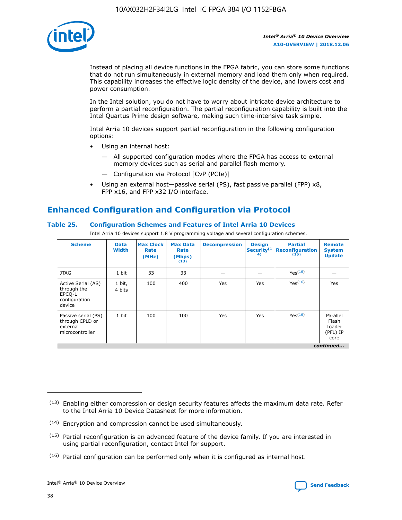

Instead of placing all device functions in the FPGA fabric, you can store some functions that do not run simultaneously in external memory and load them only when required. This capability increases the effective logic density of the device, and lowers cost and power consumption.

In the Intel solution, you do not have to worry about intricate device architecture to perform a partial reconfiguration. The partial reconfiguration capability is built into the Intel Quartus Prime design software, making such time-intensive task simple.

Intel Arria 10 devices support partial reconfiguration in the following configuration options:

- Using an internal host:
	- All supported configuration modes where the FPGA has access to external memory devices such as serial and parallel flash memory.
	- Configuration via Protocol [CvP (PCIe)]
- Using an external host—passive serial (PS), fast passive parallel (FPP) x8, FPP x16, and FPP x32 I/O interface.

# **Enhanced Configuration and Configuration via Protocol**

## **Table 25. Configuration Schemes and Features of Intel Arria 10 Devices**

Intel Arria 10 devices support 1.8 V programming voltage and several configuration schemes.

| <b>Scheme</b>                                                          | <b>Data</b><br><b>Width</b> | <b>Max Clock</b><br>Rate<br>(MHz) | <b>Max Data</b><br>Rate<br>(Mbps)<br>(13) | <b>Decompression</b> | <b>Design</b><br>Security <sup>(1</sup><br>4) | <b>Partial</b><br>Reconfiguration<br>(15) | <b>Remote</b><br><b>System</b><br><b>Update</b> |
|------------------------------------------------------------------------|-----------------------------|-----------------------------------|-------------------------------------------|----------------------|-----------------------------------------------|-------------------------------------------|-------------------------------------------------|
| <b>JTAG</b>                                                            | 1 bit                       | 33                                | 33                                        |                      |                                               | Yes(16)                                   |                                                 |
| Active Serial (AS)<br>through the<br>EPCO-L<br>configuration<br>device | 1 bit,<br>4 bits            | 100                               | 400                                       | Yes                  | Yes                                           | Yes(16)                                   | Yes                                             |
| Passive serial (PS)<br>through CPLD or<br>external<br>microcontroller  | 1 bit                       | 100                               | 100                                       | Yes                  | Yes                                           | Yes <sup>(16)</sup>                       | Parallel<br>Flash<br>Loader<br>(PFL) IP<br>core |
|                                                                        |                             |                                   |                                           |                      |                                               |                                           | continued                                       |

<sup>(13)</sup> Enabling either compression or design security features affects the maximum data rate. Refer to the Intel Arria 10 Device Datasheet for more information.

<sup>(14)</sup> Encryption and compression cannot be used simultaneously.

 $(15)$  Partial reconfiguration is an advanced feature of the device family. If you are interested in using partial reconfiguration, contact Intel for support.

 $(16)$  Partial configuration can be performed only when it is configured as internal host.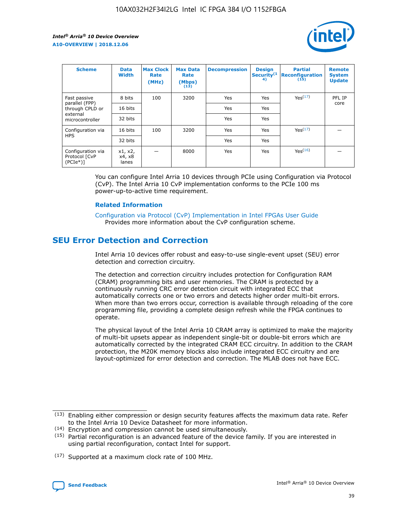

| <b>Scheme</b>                                   | <b>Data</b><br><b>Width</b> | <b>Max Clock</b><br>Rate<br>(MHz) | <b>Max Data</b><br>Rate<br>(Mbps)<br>(13) | <b>Decompression</b> | <b>Design</b><br>Security <sup>(1</sup><br>4) | <b>Partial</b><br><b>Reconfiguration</b><br>(15) | <b>Remote</b><br><b>System</b><br><b>Update</b> |
|-------------------------------------------------|-----------------------------|-----------------------------------|-------------------------------------------|----------------------|-----------------------------------------------|--------------------------------------------------|-------------------------------------------------|
| Fast passive                                    | 8 bits                      | 100                               | 3200                                      | Yes                  | Yes                                           | Yes(17)                                          | PFL IP                                          |
| parallel (FPP)<br>through CPLD or               | 16 bits                     |                                   |                                           | Yes                  | Yes                                           |                                                  | core                                            |
| external<br>microcontroller                     | 32 bits                     |                                   |                                           | Yes                  | Yes                                           |                                                  |                                                 |
| Configuration via                               | 16 bits                     | 100                               | 3200                                      | Yes                  | Yes                                           | Yes <sup>(17)</sup>                              |                                                 |
| <b>HPS</b>                                      | 32 bits                     |                                   |                                           | Yes                  | Yes                                           |                                                  |                                                 |
| Configuration via<br>Protocol [CvP<br>$(PCIe*)$ | x1, x2,<br>x4, x8<br>lanes  |                                   | 8000                                      | Yes                  | Yes                                           | Yes <sup>(16)</sup>                              |                                                 |

You can configure Intel Arria 10 devices through PCIe using Configuration via Protocol (CvP). The Intel Arria 10 CvP implementation conforms to the PCIe 100 ms power-up-to-active time requirement.

#### **Related Information**

[Configuration via Protocol \(CvP\) Implementation in Intel FPGAs User Guide](https://www.intel.com/content/www/us/en/programmable/documentation/dsu1441819344145.html#dsu1442269728522) Provides more information about the CvP configuration scheme.

# **SEU Error Detection and Correction**

Intel Arria 10 devices offer robust and easy-to-use single-event upset (SEU) error detection and correction circuitry.

The detection and correction circuitry includes protection for Configuration RAM (CRAM) programming bits and user memories. The CRAM is protected by a continuously running CRC error detection circuit with integrated ECC that automatically corrects one or two errors and detects higher order multi-bit errors. When more than two errors occur, correction is available through reloading of the core programming file, providing a complete design refresh while the FPGA continues to operate.

The physical layout of the Intel Arria 10 CRAM array is optimized to make the majority of multi-bit upsets appear as independent single-bit or double-bit errors which are automatically corrected by the integrated CRAM ECC circuitry. In addition to the CRAM protection, the M20K memory blocks also include integrated ECC circuitry and are layout-optimized for error detection and correction. The MLAB does not have ECC.

(14) Encryption and compression cannot be used simultaneously.

<sup>(17)</sup> Supported at a maximum clock rate of 100 MHz.



 $(13)$  Enabling either compression or design security features affects the maximum data rate. Refer to the Intel Arria 10 Device Datasheet for more information.

 $(15)$  Partial reconfiguration is an advanced feature of the device family. If you are interested in using partial reconfiguration, contact Intel for support.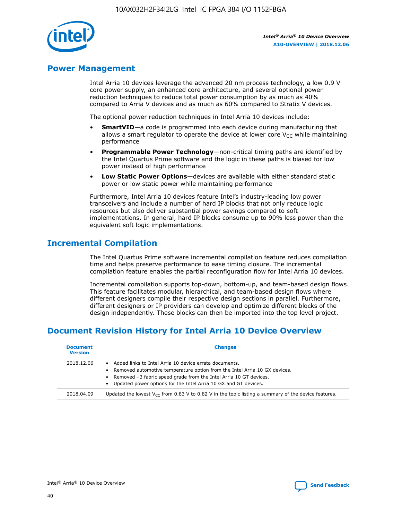

# **Power Management**

Intel Arria 10 devices leverage the advanced 20 nm process technology, a low 0.9 V core power supply, an enhanced core architecture, and several optional power reduction techniques to reduce total power consumption by as much as 40% compared to Arria V devices and as much as 60% compared to Stratix V devices.

The optional power reduction techniques in Intel Arria 10 devices include:

- **SmartVID**—a code is programmed into each device during manufacturing that allows a smart regulator to operate the device at lower core  $V_{CC}$  while maintaining performance
- **Programmable Power Technology**—non-critical timing paths are identified by the Intel Quartus Prime software and the logic in these paths is biased for low power instead of high performance
- **Low Static Power Options**—devices are available with either standard static power or low static power while maintaining performance

Furthermore, Intel Arria 10 devices feature Intel's industry-leading low power transceivers and include a number of hard IP blocks that not only reduce logic resources but also deliver substantial power savings compared to soft implementations. In general, hard IP blocks consume up to 90% less power than the equivalent soft logic implementations.

# **Incremental Compilation**

The Intel Quartus Prime software incremental compilation feature reduces compilation time and helps preserve performance to ease timing closure. The incremental compilation feature enables the partial reconfiguration flow for Intel Arria 10 devices.

Incremental compilation supports top-down, bottom-up, and team-based design flows. This feature facilitates modular, hierarchical, and team-based design flows where different designers compile their respective design sections in parallel. Furthermore, different designers or IP providers can develop and optimize different blocks of the design independently. These blocks can then be imported into the top level project.

# **Document Revision History for Intel Arria 10 Device Overview**

| <b>Document</b><br><b>Version</b> | <b>Changes</b>                                                                                                                                                                                                                                                              |
|-----------------------------------|-----------------------------------------------------------------------------------------------------------------------------------------------------------------------------------------------------------------------------------------------------------------------------|
| 2018.12.06                        | Added links to Intel Arria 10 device errata documents.<br>Removed automotive temperature option from the Intel Arria 10 GX devices.<br>Removed -3 fabric speed grade from the Intel Arria 10 GT devices.<br>Updated power options for the Intel Arria 10 GX and GT devices. |
| 2018.04.09                        | Updated the lowest $V_{CC}$ from 0.83 V to 0.82 V in the topic listing a summary of the device features.                                                                                                                                                                    |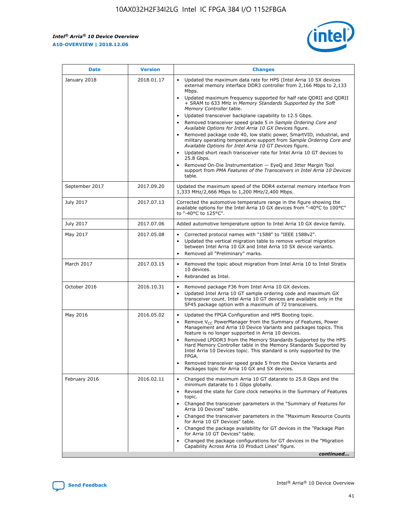*Intel® Arria® 10 Device Overview* **A10-OVERVIEW | 2018.12.06**



| <b>Date</b>    | <b>Version</b> | <b>Changes</b>                                                                                                                                                                                                                                                                                                                                                                                                                                                                                                                                                                                                                                                                                                                                                                                                                                                                                                                                                                         |
|----------------|----------------|----------------------------------------------------------------------------------------------------------------------------------------------------------------------------------------------------------------------------------------------------------------------------------------------------------------------------------------------------------------------------------------------------------------------------------------------------------------------------------------------------------------------------------------------------------------------------------------------------------------------------------------------------------------------------------------------------------------------------------------------------------------------------------------------------------------------------------------------------------------------------------------------------------------------------------------------------------------------------------------|
| January 2018   | 2018.01.17     | Updated the maximum data rate for HPS (Intel Arria 10 SX devices<br>external memory interface DDR3 controller from 2,166 Mbps to 2,133<br>Mbps.<br>Updated maximum frequency supported for half rate QDRII and QDRII<br>+ SRAM to 633 MHz in Memory Standards Supported by the Soft<br>Memory Controller table.<br>Updated transceiver backplane capability to 12.5 Gbps.<br>$\bullet$<br>Removed transceiver speed grade 5 in Sample Ordering Core and<br>$\bullet$<br>Available Options for Intel Arria 10 GX Devices figure.<br>Removed package code 40, low static power, SmartVID, industrial, and<br>military operating temperature support from Sample Ordering Core and<br>Available Options for Intel Arria 10 GT Devices figure.<br>Updated short reach transceiver rate for Intel Arria 10 GT devices to<br>25.8 Gbps.<br>Removed On-Die Instrumentation - EyeQ and Jitter Margin Tool<br>support from PMA Features of the Transceivers in Intel Arria 10 Devices<br>table. |
| September 2017 | 2017.09.20     | Updated the maximum speed of the DDR4 external memory interface from<br>1,333 MHz/2,666 Mbps to 1,200 MHz/2,400 Mbps.                                                                                                                                                                                                                                                                                                                                                                                                                                                                                                                                                                                                                                                                                                                                                                                                                                                                  |
| July 2017      | 2017.07.13     | Corrected the automotive temperature range in the figure showing the<br>available options for the Intel Arria 10 GX devices from "-40°C to 100°C"<br>to "-40°C to 125°C".                                                                                                                                                                                                                                                                                                                                                                                                                                                                                                                                                                                                                                                                                                                                                                                                              |
| July 2017      | 2017.07.06     | Added automotive temperature option to Intel Arria 10 GX device family.                                                                                                                                                                                                                                                                                                                                                                                                                                                                                                                                                                                                                                                                                                                                                                                                                                                                                                                |
| May 2017       | 2017.05.08     | Corrected protocol names with "1588" to "IEEE 1588v2".<br>$\bullet$<br>Updated the vertical migration table to remove vertical migration<br>$\bullet$<br>between Intel Arria 10 GX and Intel Arria 10 SX device variants.<br>Removed all "Preliminary" marks.<br>$\bullet$                                                                                                                                                                                                                                                                                                                                                                                                                                                                                                                                                                                                                                                                                                             |
| March 2017     | 2017.03.15     | Removed the topic about migration from Intel Arria 10 to Intel Stratix<br>$\bullet$<br>10 devices.<br>Rebranded as Intel.<br>$\bullet$                                                                                                                                                                                                                                                                                                                                                                                                                                                                                                                                                                                                                                                                                                                                                                                                                                                 |
| October 2016   | 2016.10.31     | Removed package F36 from Intel Arria 10 GX devices.<br>Updated Intel Arria 10 GT sample ordering code and maximum GX<br>$\bullet$<br>transceiver count. Intel Arria 10 GT devices are available only in the<br>SF45 package option with a maximum of 72 transceivers.                                                                                                                                                                                                                                                                                                                                                                                                                                                                                                                                                                                                                                                                                                                  |
| May 2016       | 2016.05.02     | Updated the FPGA Configuration and HPS Booting topic.<br>$\bullet$<br>Remove V <sub>CC</sub> PowerManager from the Summary of Features, Power<br>Management and Arria 10 Device Variants and packages topics. This<br>feature is no longer supported in Arria 10 devices.<br>Removed LPDDR3 from the Memory Standards Supported by the HPS<br>Hard Memory Controller table in the Memory Standards Supported by<br>Intel Arria 10 Devices topic. This standard is only supported by the<br>FPGA.<br>Removed transceiver speed grade 5 from the Device Variants and<br>Packages topic for Arria 10 GX and SX devices.                                                                                                                                                                                                                                                                                                                                                                   |
| February 2016  | 2016.02.11     | Changed the maximum Arria 10 GT datarate to 25.8 Gbps and the<br>minimum datarate to 1 Gbps globally.<br>Revised the state for Core clock networks in the Summary of Features<br>$\bullet$<br>topic.<br>Changed the transceiver parameters in the "Summary of Features for<br>$\bullet$<br>Arria 10 Devices" table.<br>• Changed the transceiver parameters in the "Maximum Resource Counts<br>for Arria 10 GT Devices" table.<br>Changed the package availability for GT devices in the "Package Plan<br>for Arria 10 GT Devices" table.<br>Changed the package configurations for GT devices in the "Migration"<br>Capability Across Arria 10 Product Lines" figure.<br>continued                                                                                                                                                                                                                                                                                                    |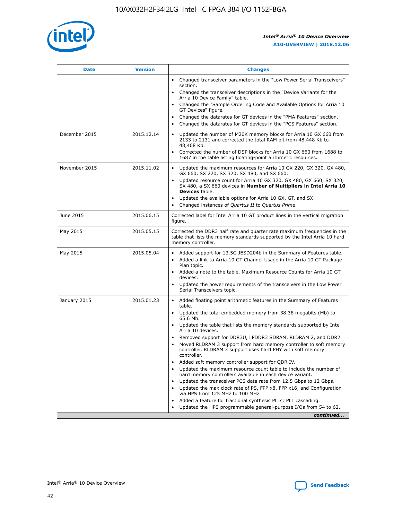

| <b>Date</b>   | <b>Version</b> | <b>Changes</b>                                                                                                                                                               |
|---------------|----------------|------------------------------------------------------------------------------------------------------------------------------------------------------------------------------|
|               |                | • Changed transceiver parameters in the "Low Power Serial Transceivers"<br>section.                                                                                          |
|               |                | • Changed the transceiver descriptions in the "Device Variants for the<br>Arria 10 Device Family" table.                                                                     |
|               |                | Changed the "Sample Ordering Code and Available Options for Arria 10<br>$\bullet$<br>GT Devices" figure.                                                                     |
|               |                | Changed the datarates for GT devices in the "PMA Features" section.                                                                                                          |
|               |                | Changed the datarates for GT devices in the "PCS Features" section.<br>$\bullet$                                                                                             |
| December 2015 | 2015.12.14     | Updated the number of M20K memory blocks for Arria 10 GX 660 from<br>2133 to 2131 and corrected the total RAM bit from 48,448 Kb to<br>48,408 Kb.                            |
|               |                | Corrected the number of DSP blocks for Arria 10 GX 660 from 1688 to<br>1687 in the table listing floating-point arithmetic resources.                                        |
| November 2015 | 2015.11.02     | Updated the maximum resources for Arria 10 GX 220, GX 320, GX 480,<br>$\bullet$<br>GX 660, SX 220, SX 320, SX 480, and SX 660.                                               |
|               |                | • Updated resource count for Arria 10 GX 320, GX 480, GX 660, SX 320,<br>SX 480, a SX 660 devices in Number of Multipliers in Intel Arria 10<br><b>Devices</b> table.        |
|               |                | Updated the available options for Arria 10 GX, GT, and SX.                                                                                                                   |
|               |                | Changed instances of Quartus II to Quartus Prime.<br>$\bullet$                                                                                                               |
| June 2015     | 2015.06.15     | Corrected label for Intel Arria 10 GT product lines in the vertical migration<br>figure.                                                                                     |
| May 2015      | 2015.05.15     | Corrected the DDR3 half rate and quarter rate maximum frequencies in the<br>table that lists the memory standards supported by the Intel Arria 10 hard<br>memory controller. |
| May 2015      | 2015.05.04     | • Added support for 13.5G JESD204b in the Summary of Features table.                                                                                                         |
|               |                | • Added a link to Arria 10 GT Channel Usage in the Arria 10 GT Package<br>Plan topic.                                                                                        |
|               |                | • Added a note to the table, Maximum Resource Counts for Arria 10 GT<br>devices.                                                                                             |
|               |                | • Updated the power requirements of the transceivers in the Low Power<br>Serial Transceivers topic.                                                                          |
| January 2015  | 2015.01.23     | • Added floating point arithmetic features in the Summary of Features<br>table.                                                                                              |
|               |                | • Updated the total embedded memory from 38.38 megabits (Mb) to<br>65.6 Mb.                                                                                                  |
|               |                | • Updated the table that lists the memory standards supported by Intel<br>Arria 10 devices.                                                                                  |
|               |                | Removed support for DDR3U, LPDDR3 SDRAM, RLDRAM 2, and DDR2.                                                                                                                 |
|               |                | Moved RLDRAM 3 support from hard memory controller to soft memory<br>controller. RLDRAM 3 support uses hard PHY with soft memory<br>controller.                              |
|               |                | Added soft memory controller support for QDR IV.<br>٠                                                                                                                        |
|               |                | Updated the maximum resource count table to include the number of<br>hard memory controllers available in each device variant.                                               |
|               |                | Updated the transceiver PCS data rate from 12.5 Gbps to 12 Gbps.<br>$\bullet$                                                                                                |
|               |                | Updated the max clock rate of PS, FPP x8, FPP x16, and Configuration<br>via HPS from 125 MHz to 100 MHz.                                                                     |
|               |                | Added a feature for fractional synthesis PLLs: PLL cascading.                                                                                                                |
|               |                | Updated the HPS programmable general-purpose I/Os from 54 to 62.<br>$\bullet$                                                                                                |
|               |                | continued                                                                                                                                                                    |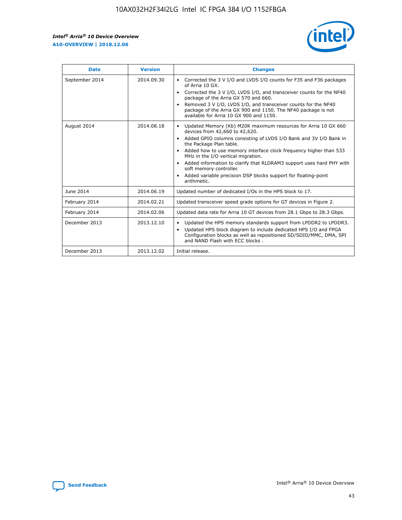r



| <b>Date</b>    | <b>Version</b> | <b>Changes</b>                                                                                                                                                                                                                                                                                                                                                                                                                                                                                                                         |
|----------------|----------------|----------------------------------------------------------------------------------------------------------------------------------------------------------------------------------------------------------------------------------------------------------------------------------------------------------------------------------------------------------------------------------------------------------------------------------------------------------------------------------------------------------------------------------------|
| September 2014 | 2014.09.30     | Corrected the 3 V I/O and LVDS I/O counts for F35 and F36 packages<br>of Arria 10 GX.<br>Corrected the 3 V I/O, LVDS I/O, and transceiver counts for the NF40<br>$\bullet$<br>package of the Arria GX 570 and 660.<br>Removed 3 V I/O, LVDS I/O, and transceiver counts for the NF40<br>package of the Arria GX 900 and 1150. The NF40 package is not<br>available for Arria 10 GX 900 and 1150.                                                                                                                                       |
| August 2014    | 2014.08.18     | Updated Memory (Kb) M20K maximum resources for Arria 10 GX 660<br>devices from 42,660 to 42,620.<br>Added GPIO columns consisting of LVDS I/O Bank and 3V I/O Bank in<br>$\bullet$<br>the Package Plan table.<br>Added how to use memory interface clock frequency higher than 533<br>$\bullet$<br>MHz in the I/O vertical migration.<br>Added information to clarify that RLDRAM3 support uses hard PHY with<br>$\bullet$<br>soft memory controller.<br>Added variable precision DSP blocks support for floating-point<br>arithmetic. |
| June 2014      | 2014.06.19     | Updated number of dedicated I/Os in the HPS block to 17.                                                                                                                                                                                                                                                                                                                                                                                                                                                                               |
| February 2014  | 2014.02.21     | Updated transceiver speed grade options for GT devices in Figure 2.                                                                                                                                                                                                                                                                                                                                                                                                                                                                    |
| February 2014  | 2014.02.06     | Updated data rate for Arria 10 GT devices from 28.1 Gbps to 28.3 Gbps.                                                                                                                                                                                                                                                                                                                                                                                                                                                                 |
| December 2013  | 2013.12.10     | Updated the HPS memory standards support from LPDDR2 to LPDDR3.<br>Updated HPS block diagram to include dedicated HPS I/O and FPGA<br>$\bullet$<br>Configuration blocks as well as repositioned SD/SDIO/MMC, DMA, SPI<br>and NAND Flash with ECC blocks.                                                                                                                                                                                                                                                                               |
| December 2013  | 2013.12.02     | Initial release.                                                                                                                                                                                                                                                                                                                                                                                                                                                                                                                       |